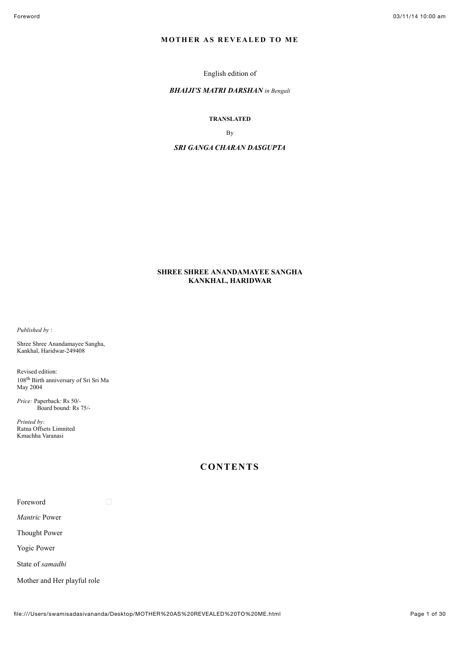# **MOTHER AS REVEALED TO ME**

English edition of

### *BHAIJI'S MATRI DARSHAN in Bengali*

#### **TRANSLATED**

By

## *SRI GANGA CHARAN DASGUPTA*

## **SHREE SHREE ANANDAMAYEE SANGHA KANKHAL, HARIDWAR**

*Published by* :

Shree Shree Anandamayee Sangha, Kankhal, Haridwar-249408

Revised edition: 108th Birth anniversary of Sri Sri Ma May 2004

*Price:* Paperback: Rs 50/- Board bound: Rs 75/-

*Printed by*: Ratna Offsets Limnited Kmachha Varanasi

# **CONTENTS**

Foreword

*Mantric* Power

Thought Power

Yogic Power

State of *samadhi* 

Mother and Her playful role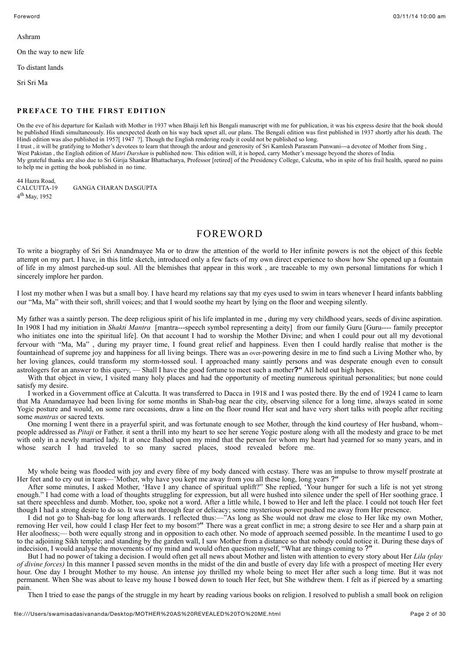Ashram

On the way to new life

To distant lands

Sri Sri Ma

### **PREFACE TO THE FIRST EDITION**

On the eve of his departure for Kailash with Mother in 1937 when Bhaiji left his Bengali manuscript with me for publication, it was his express desire that the book should be published Hindi simultaneously. His unexpected death on his way back upset all, our plans. The Bengali edition was first published in 1937 shortly after his death. The Hindi edition was also published in 1957[1947 ?]. Though the English rendering ready it could not be published so long. I trust , it will be gratifying to Mother's devotees to learn that through the ardour and generosity of Sri Kamlesh Parasram Punwani---a devotee of Mother from Sing , West Pakistan , the English edition of *Matri Darshan* is published now. This edition will, it is hoped, carry Mother's message beyond the shores of India. My grateful thanks are also due to Sri Girija Shankar Bhattacharya, Professor [retired] of the Presidency College, Calcutta, who in spite of his frail health, spared no pains to help me in getting the book published in no time.

44 Hazra Road, CALCUTTA-19 GANGA CHARAN DASGUPTA 4th May, 1952

# FOREWORD

To write a biography of Sri Sri Anandmayee Ma or to draw the attention of the world to Her infinite powers is not the object of this feeble attempt on my part. I have, in this little sketch, introduced only a few facts of my own direct experience to show how She opened up a fountain of life in my almost parched-up soul. All the blemishes that appear in this work , are traceable to my own personal limitations for which I sincerely implore her pardon.

I lost my mother when I was but a small boy. I have heard my relations say that my eyes used to swim in tears whenever I heard infants babbling our "Ma, Ma" with their soft, shrill voices; and that I would soothe my heart by lying on the floor and weeping silently.

My father was a saintly person. The deep religious spirit of his life implanted in me , during my very childhood years, seeds of divine aspiration. In 1908 I had my initiation in *Shakti Mantra* [mantra---speech symbol representing a deity] from our family Guru [Guru---- family preceptor who initiates one into the spiritual life]. On that account I had to worship the Mother Divine; and when I could pour out all my devotional fervour with "Ma, Ma" , during my prayer time, I found great relief and happiness. Even then I could hardly realise that mother is the fountainhead of supreme joy and happiness for all living beings. There was an over-powering desire in me to find such a Living Mother who, by her loving glances, could transform my storm-tossed soul. I approached many saintly persons and was desperate enough even to consult astrologers for an answer to this query, — Shall I have the good fortune to meet such a mother**?"** All held out high hopes.

With that object in view, I visited many holy places and had the opportunity of meeting numerous spiritual personalities; but none could satisfy my desire.

I worked in a Government office at Calcutta. It was transferred to Dacca in 1918 and I was posted there. By the end of 1924 I came to learn that Ma Anandamayee had been living for some months in Shah-bag near the city, observing silence for a long time, always seated in some Yogic posture and would, on some rare occasions, draw a line on the floor round Her seat and have very short talks with people after reciting some *mantras* or sacred texts.

One morning I went there in a prayerful spirit, and was fortunate enough to see Mother, through the kind courtesy of Her husband, whom~ people addressed as *Pitaji* or Father. it sent a thrill into my heart to see her serene Yogic posture along with all the modesty and grace to be met with only in a newly married lady. It at once flashed upon my mind that the person for whom my heart had yearned for so many years, and in whose search I had traveled to so many sacred places, stood revealed before me.

My whole being was flooded with joy and every fibre of my body danced with ecstasy. There was an impulse to throw myself prostrate at Her feet and to cry out in tears—'Mother, why have you kept me away from you all these long, long years ?**"**

After some minutes, I asked Mother, 'Have I any chance of spiritual uplift?" She replied, 'Your hunger for such a life is not yet strong enough." I had come with a load of thoughts struggling for expression, but all were hushed into silence under the spell of Her soothing grace. I sat there speechless and dumb. Mother, too, spoke not a word. After a little while, I bowed to Her and left the place. I could not touch Her feet though I had a strong desire to do so. It was not through fear or delicacy; some mysterious power pushed me away from Her presence.

I did not go to Shah-bag for long afterwards. I reflected thus:—"As long as She would not draw me close to Her like my own Mother, removing Her veil, how could I clasp Her feet to my bosom?**"** There was a great conflict in me; a strong desire to see Her and a sharp pain at Her aloofness;— both were equally strong and in opposition to each other. No mode of approach seemed possible. In the meantime I used to go to the adjoining Sikh temple; and standing by the garden wall, I saw Mother from a distance so that nobody could notice it. During these days of indecision, I would analyse the movements of my mind and would often question myself, "What are things coming to ?**"**

But I had no power of taking a decision. I would often get all news about Mother and listen with attention to every story about Her *Lila (play of divine forces*) In this manner I passed seven months in the midst of the din and bustle of every day life with a prospect of meeting Her every hour. One day I brought Mother to my house. An intense joy thrilled my whole being to meet Her after such a long time. But it was not permanent. When She was about to leave my house I bowed down to touch Her feet, but She withdrew them. I felt as if pierced by a smarting pain.

Then I tried to ease the pangs of the struggle in my heart by reading various books on religion. I resolved to publish a small book on religion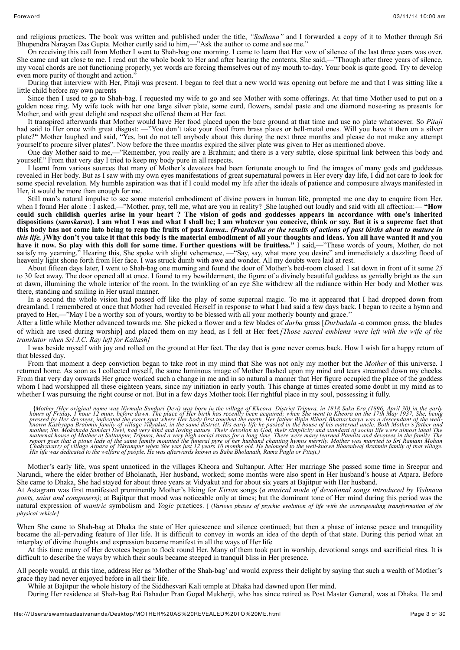and religious practices. The book was written and published under the title, *"Sadhana"* and I forwarded a copy of it to Mother through Sri Bhupendra Narayan Das Gupta. Mother curtly said to him,—"Ask the author to come and see me."

On receiving this call from Mother I went to Shah-bag one morning. I came to learn that Her vow of silence of the last three years was over. She came and sat close to me. I read out the whole book to Her and after hearing the contents, She said,—"Though after three years of silence, my vocal chords are not functioning properly, yet words are forcing themselves out of my mouth to-day. Your book is quite good. Try to develop even more purity of thought and action.

During that interview with Her, Pitaji was present. I began to feel that a new world was opening out before me and that I was sitting like a little child before my own parents

Since then I used to go to Shah-bag. I requested my wife to go and see Mother with some offerings. At that time Mother used to put on a golden nose ring. My wife took with her one large silver plate, some curd, flowers, sandal paste and one diamond nose-ring as presents for Mother, and with great delight and respect she offered them at Her feet.

It transpired afterwards that Mother would have Her food placed upon the bare ground at that time and use no plate whatsoever. So *Pitaji* had said to Her once with great disgust: —"You don't take your food from brass plates or bell-metal ones. Will you have it then on a silver plate?**"** Mother laughed and said, "Yes, but do not tell anybody about this during the next three months and please do not make any attempt yourself to procure silver plates". Now before the three months expired the silver plate was given to Her as mentioned above.

One day Mother said to me,—"Remember, you really are a Brahmin; and there is a very subtle, close spiritual link between this body and yourself." From that very day I tried to keep my body pure in all respects.

I learnt from various sources that many of Mother's devotees had been fortunate enough to find the images of many gods and goddesses revealed in Her body. But as I saw with my own eyes manifestations of great supernatural powers in Her every day life, I did not care to look for some special revelation. My humble aspiration was that if I could model my life after the ideals of patience and composure always manifested in Her, it would be more than enough for me.

Still man's natural impulse to see some material embodiment of divine powers in human life, prompted me one day to enquire from Her, when I found Her alone : I asked,—"Mother, pray, tell me, what are you in reality?-She laughed out loudly and said with all affection:— "How **could such childish queries arise in your heart ? The vision of gods and goddesses appears in accordance with one's inherited dispositions (***samskaras***). I am what I was and what I shall be; I am whatever you conceive, think or say. But it is a supreme fact that this body has not come into being to reap the fruits of past** *karma.. (Prarabdha or the results of actions of past births about to mature in this life. )***Why don't you take it that this body is the material embodiment of all your thoughts and ideas. You all have wanted it and you** have it now. So play with this doll for some time. Further questions will be fruitless." I said,—"These words of yours, Mother, do not satisfy my yearning." Hearing this, She spoke with slight vehemence, —"Say, say, what more you desire" and immediately a dazzling flood of heavenly light shone forth from Her face. I was struck dumb with awe and wonder. All my doubts were laid at rest.

About fifteen days later, I went to Shah-bag one morning and found the door of Mother's bed-room closed. I sat down in front of it some *25* to 30 feet away. The door opened all at once. I found to my bewilderment, the figure of a divinely beautiful goddess as genially bright as the sun at dawn, illumining the whole interior of the room. In the twinkling of an eye She withdrew all the radiance within Her body and Mother was there, standing and smiling in Her usual manner.

In a second the whole vision had passed off like the play of some supernal magic. To me it appeared that I had dropped down from dreamland. I remembered at once that Mother had revealed Herself in response to what I had said a few days back. I began to recite a hymn and prayed to Her,—"May I be a worthy son of yours, worthy to be blessed with all your motherly bounty and grace.''

After a little while Mother advanced towards me. She picked a flower and a few blades of *durba* grass [*Durbadala* -a common grass, the blades of which are used during worship] and placed them on my head, as I fell at Her feet*.[Those sacred emblems were left with the wife of the translator when Sri J.C. Ray left for Kailash]*

I was beside myself with joy and rolled on the ground at Her feet. The day that is gone never comes back. How I wish for a happy return of that blessed day.

From that moment a deep conviction began to take root in my mind that She was not only my mother but the *Mother* of this universe. I returned home. As soon as I collected myself, the same luminous image of Mother flashed upon my mind and tears streamed down my cheeks. From that very day onwards Her grace worked such a change in me and in so natural a manner that Her figure occupied the place of the goddess whom I had worshipped all these eighteen years, since my initiation in early youth. This change at times created some doubt in my mind as to whether I was pursuing the right course or not. But in a few days Mother took Her rightful place in my soul, possessing it fully.

(Mother (Her original name was Nirmala Sundari Devi) was born in the village of Kheora, District Tripura, in 1818 Saka Era (1896, April 30) in the early<br>hours of Friday, 1 hour 12 mins. before dawn. The place of Her birth

Mother's early life, was spent unnoticed in the villages Kheora and Sultanpur. After Her marriage She passed some time in Sreepur and Narundi, where the elder brother of Bholanath, Her husband, worked; some months were also spent in Her husband's house at Atpara. Before She came to Dhaka, She had stayed for about three years at Vidyakut and for about six years at Bajitpur with Her husband.

At Astagram was first manifested prominently Mother's liking for *Kirtan* songs (*a musical mode of devotional songs introduced by Vishnava poets, saint and composers*); at Bajitpur that mood was noticeable only at times; but the dominant tone of Her mind during this period was the natural expression of *mantric* symbolism and *Yogic* practices. [ (*Various phases of psychic evolution of life with the corresponding transformation of the physical vehicle].*

When She came to Shah-bag at Dhaka the state of Her quiescence and silence continued; but then a phase of intense peace and tranquility became the all-pervading feature of Her life. It is difficult to convey in words an idea of the depth of that state. During this period what an interplay of divine thoughts and expression became manifest in all the ways of Her life

At this time many of Her devotees began to flock round Her. Many of them took part in worship, devotional songs and sacrificial rites. It is difficult to describe the ways by which their souls became steeped in tranquil bliss in Her presence.

All people would, at this time, address Her as 'Mother of the Shah-bag' and would express their delight by saying that such a wealth of Mother's grace they had never enjoyed before in all their life.

While at Bajitpur the whole history of the Siddhesvari Kali temple at Dhaka had dawned upon Her mind.

During Her residence at Shah-bag Rai Bahadur Pran Gopal Mukherji, who has since retired as Post Master General, was at Dhaka. He and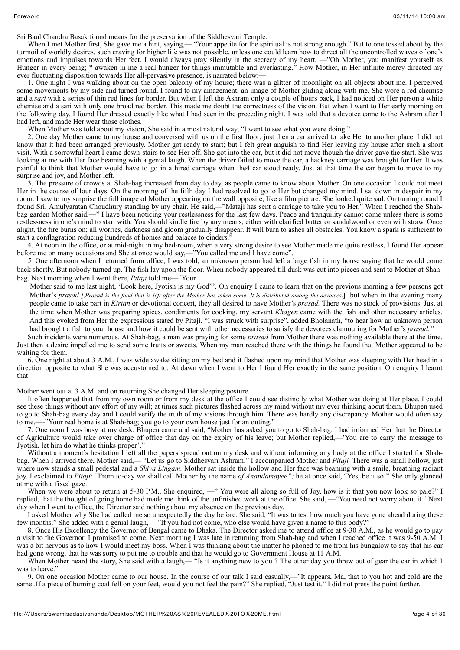Sri Baul Chandra Basak found means for the preservation of the Siddhesvari Temple.

When I met Mother first, She gave me a hint, saying,— "Your appetite for the spiritual is not strong enough." But to one tossed about by the turmoil of worldly desires, such craving for higher life was not possible, unless one could learn how to direct all the uncontrolled waves of one's emotions and impulses towards Her feet. I would always pray silently in the secrecy of my heart, —"Oh Mother, you manifest yourself as Hunger in every being; \* awaken in me a real hunger for things immutable and everlasting." How Mother, in Her infinite mercy directed my ever fluctuating disposition towards Her all-pervasive presence, is narrated below:—

1. One night I was walking about on the open balcony of my house; there was a glitter of moonlight on all objects about me. I perceived some movements by my side and turned round. I found to my amazement, an image of Mother gliding along with me. She wore a red chemise and a *sari* with a series of thin red lines for border. But when I left the Ashram only a couple of hours back, I had noticed on Her person a white chemise and a sari with only one broad red border. This made me doubt the correctness of the vision. But when I went to Her early morning on the following day, I found Her dressed exactly like what I had seen in the preceding night. I was told that a devotee came to the Ashram after I had left, and made Her wear those clothes.

When Mother was told about my vision, She said in a most natural way, "I went to see what you were doing."

2. One day Mother came to my house and conversed with us on the first floor; just then a car arrived to take Her to another place. I did not know that it had been arranged previously. Mother got ready to start; but I felt great anguish to find Her leaving my house after such a short visit. With a sorrowful heart I came down-stairs to see Her off. She got into the car, but it did not move though the driver gave the start. She was looking at me with Her face beaming with a genial laugh. When the driver failed to move the car, a hackney carriage was brought for Her. It was painful to think that Mother would have to go in a hired carriage when the4 car stood ready. Just at that time the car began to move to my surprise and joy, and Mother left.

3. The pressure of crowds at Shah-bag increased from day to day, as people came to know about Mother. On one occasion I could not meet Her in the course of four days. On the morning of the fifth day I had resolved to go to Her but changed my mind. I sat down in despair in my room. I saw to my surprise the full image of Mother appearing on the wall opposite, like a film picture. She looked quite sad. On turning round I found Sri. Amulyaratan Choudhury standing by my chair. He said,—"Mataji has sent a carriage to take you to Her." When I reached the Shahbag garden Mother said,—" I have been noticing your restlessness for the last few days. Peace and tranquility cannot come unless there is some restlessness in one's mind to start with. You should kindle fire by any means, either with clarified butter or sandalwood or even with straw. Once alight, the fire burns on; all worries, darkness and gloom gradually disappear. It will burn to ashes all obstacles. You know a spark is sufficient to start a conflagration reducing hundreds of homes and palaces to cinders."

4. At noon in the office, or at mid-night in my bed-room, when a very strong desire to see Mother made me quite restless, I found Her appear before me on many occasions and She at once would say,—"You called me and I have come".

*5.* One afternoon when I returned from office, I was told, an unknown person had left a large fish in my house saying that he would come back shortly. But nobody turned up. The fish lay upon the floor. When nobody appeared till dusk was cut into pieces and sent to Mother at Shahbag. Next morning when I went there, *Pitaji* told me—"Your

 Mother said to me last night, 'Look here, Jyotish is my God"'. On enquiry I came to learn that on the previous morning a few persons got Mother's *prasad [,Prasad is the food that is left after the Mother has taken some. It is distributed among the devotees*.] but when in the evening many people came to take part in *Kirtan* or devotional concert, they all desired to have Mother's *prasad.* There was no stock of provisions. Just at the time when Mother was preparing spices, condiments for cooking, my servant *Khagen* came with the fish and other necessary articles. And this evoked from Her the expressions stated by Pitaji. "I was struck with surprise", added Bholanath, "to hear how an unknown person had brought a fish to your house and how it could be sent with other necessaries to satisfy the devotees clamouring for Mother's *prasad."*

Such incidents were numerous. At Shah-bag, a man was praying for some *prasad* from Mother there was nothing available there at the time. Just then a desire impelled me to send some fruits or sweets. When my man reached there with the things he found that Mother appeared to be waiting for them.

6. One night at about 3 A.M., I was wide awake sitting on my bed and it flashed upon my mind that Mother was sleeping with Her head in a direction opposite to what She was accustomed to. At dawn when I went to Her I found Her exactly in the same position. On enquiry I learnt that

Mother went out at 3 A.M. and on returning She changed Her sleeping posture.

It often happened that from my own room or from my desk at the office I could see distinctly what Mother was doing at Her place. I could see these things without any effort of my will; at times such pictures flashed across my mind without my ever thinking about them. Bhupen used to go to Shah-bag every day and I could verify the truth of my visions through him. There was hardly any discrepancy. Mother would often say to me,—-"Your real home is at Shah-bag; you go to your own house just for an outing."

7. One noon I was busy at my desk. Bhupen came and said, "Mother has asked you to go to Shah-bag. I had informed Her that the Director of Agriculture would take over charge of office that day on the expiry of his leave; but Mother replied,—'You are to carry the message to Jyotish, let him do what he thinks proper'."

Without a moment's hesitation I left all the papers spread out on my desk and without informing any body at the office I started for Shahbag. When I arrived there, Mother said,— "Let us go to Siddhesvari Ashram." I accompanied Mother and *Pitaji.* There was a small hollow, just where now stands a small pedestal and a *Shiva Lingam.* Mother sat inside the hollow and Her face was beaming with a smile, breathing radiant joy. I exclaimed to *Pitaji:* "From to-day we shall call Mother by the name *of Anandamayee";* he at once said, "Yes, be it so!" She only glanced at me with a fixed gaze.

When we were about to return at 5-30 P.M., She enquired, —" You were all along so full of Joy, how is it that you now look so pale?" I replied, that the thought of going home had made me think of the unfinished work at the office. She said, —"You need not worry about it." Next day when I went to office, the Director said nothing about my absence on the previous day.

I asked Mother why She had called me so unexpectedly the day before. She said, "It was to test how much you have gone ahead during these few months." She added with a genial laugh, —"If you had not come, who else would have given a name to this body?"

8. Once His Excellency the Governor of Bengal came to Dhaka. The Director asked me to attend office at 9-30 A.M., as he would go to pay a visit to the Governor. I promised to come. Next morning I was late in returning from Shah-bag and when I reached office it was 9-50 A.M. I was a bit nervous as to how I would meet my boss. When I was thinking about the matter he phoned to me from his bungalow to say that his car had gone wrong, that he was sorry to put me to trouble and that he would go to Government House at 11 A.M.

When Mother heard the story, She said with a laugh,— "Is it anything new to you ? The other day you threw out of gear the car in which I was to leave.'

9. On one occasion Mother came to our house. In the course of our talk I said casually,—"It appears, Ma, that to you hot and cold are the same .If a piece of burning coal fell on your feet, would you not feel the pain?" She replied, "Just test it." I did not press the point further.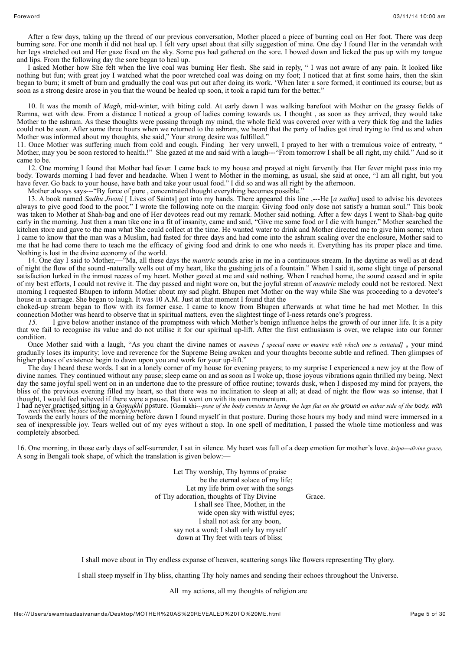After a few days, taking up the thread of our previous conversation, Mother placed a piece of burning coal on Her foot. There was deep burning sore. For one month it did not heal up. I felt very upset about that silly suggestion of mine. One day I found Her in the verandah with her legs stretched out and Her gaze fixed on the sky. Some pus had gathered on the sore. I bowed down and licked the pus up with my tongue and lips. From the following day the sore began to heal up.

I asked Mother how She felt when the live coal was burning Her flesh. She said in reply, " I was not aware of any pain. It looked like nothing but fun; with great joy I watched what the poor wretched coal was doing on my foot; I noticed that at first some hairs, then the skin began to burn; it smelt of burn and gradually the coal was put out after doing its work. 'When later a sore formed, it continued its course; but as soon as a strong desire arose in you that the wound be healed up soon, it took a rapid turn for the better."

10. It was the month of *Magh*, mid-winter, with biting cold. At early dawn I was walking barefoot with Mother on the grassy fields of Ramna, wet with dew. From a distance I noticed a group of ladies coming towards us. I thought , as soon as they arrived, they would take Mother to the ashram. As these thoughts were passing through my mind, the whole field was covered over with a very thick fog and the ladies could not be seen. After some three hours when we returned to the ashram, we heard that the party of ladies got tired trying to find us and when Mother was informed about my thoughts, she said," Your strong desire was fulfilled."

11. Once Mother was suffering much from cold and cough. Finding her very unwell, I prayed to her with a tremulous voice of entreaty, " Mother, may you be soon restored to health.!" She gazed at me and said with a laugh---"From tomorrow I shall be all right, my child." And so it came to be.

12. One morning I found that Mother had fever. I came back to my house and prayed at night fervently that Her fever might pass into my body. Towards morning I had fever and headache. When I went to Mother in the morning, as usual, she said at once, "I am all right, but you have fever. Go back to your house, have bath and take your usual food." I did so and was all right by the afternoon.

Mother always says---"By force of pure, concentrated thought everything becomes possible."

13. A book named *Sadhu Jivani* [ Lives of Saints] got into my hands. There appeared this line ,---He [*a sadhu*] used to advise his devotees always to give good food to the poor." I wrote the following note on the margin: Giving food only dose not satisfy a human soul." This book was taken to Mother at Shah-bag and one of Her devotees read out my remark. Mother said nothing. After a few days I went to Shah-bag quite early in the morning. Just then a man tike one in a fit of insanity, came and said, "Give me some food or I die with hunger." Mother searched the kitchen store and gave to the man what She could collect at the time. He wanted water to drink and Mother directed me to give him some; when I came to know that the man was a Muslim, had fasted for three days and had come into the ashram scaling over the enclosure, Mother said to me that he had come there to teach me the efficacy of giving food and drink to one who needs it. Everything has its proper place and time. Nothing is lost in the divine economy of the world.

14. One day I said to Mother,—"Ma, all these days the *mantric* sounds arise in me in a continuous stream. In the daytime as well as at dead of night the flow of the sound -naturally wells out of my heart, like the gushing jets of a fountain." When I said it, some slight tinge of personal satisfaction lurked in the inmost recess of my heart. Mother gazed at me and said nothing. When I reached home, the sound ceased and in spite of my best efforts, I could not revive it. The day passed and night wore on, but the joyful stream of *mantric* melody could not be restored. Next morning I requested Bhupen to inform Mother about my sad plight. Bhupen met Mother on the way while She was proceeding to a devotee's house in a carriage. She began to laugh. It was 10 A.M. Just at that moment I found that the

choked-up stream began to flow with its former ease. I came to know from Bhupen afterwards at what time he had met Mother. In this connection Mother was heard to observe that in spiritual matters, even the slightest tinge of I-ness retards one's progress.

*15.* I give below another instance of the promptness with which Mother's benign influence helps the growth of our inner life. It is a pity that we fail to recognise its value and do not utilise it for our spiritual up-lift. After the first enthusiasm is over, we relapse into our former condition.

Once Mother said with a laugh, "As you chant the divine names or *mantras [ special name or mantra with which one is initiated]* **,** your mind gradually loses its impurity; love and reverence for the Supreme Being awaken and your thoughts become subtle and refined. Then glimpses of higher planes of existence begin to dawn upon you and work for your up-lift."

The day I heard these words. I sat in a lonely corner of my house for evening prayers; to my surprise I experienced a new joy at the flow of divine names. They continued without any pause; sleep came on and as soon as I woke up, those joyous vibrations again thrilled my being. Next day the same joyful spell went on in an undertone due to the pressure of office routine; towards dusk, when I disposed my mind for prayers, the bliss of the previous evening filled my heart, so that there was no inclination to sleep at all; at dead of night the flow was so intense, that I thought, I would feel relieved if there were a pause. But it went on with its own momentum.

I had never practised sitting in a Gomukhi posture. (Gomukhi---pose of the body consists in laying the legs flat on the **ground** on either side of the **body**, with erect backbone, the face looking straight forward. Towards the early hours of the morning before dawn I found myself in that posture. During those hours my body and mind were immersed in a

sea of inexpressible joy. Tears welled out of my eyes without a stop. In one spell of meditation, I passed the whole time motionless and was completely absorbed.

16. One morning, in those early days of self-surrender, I sat in silence. My heart was full of a deep emotion for mother's love. *kripa---divine grace)* A song in Bengali took shape, of which the translation is given below:—

> Let Thy worship, Thy hymns of praise be the eternal solace of my life; Let my life brim over with the songs of Thy adoration, thoughts of Thy Divine Grace. I shall see Thee, Mother, in the wide open sky with wistful eyes; I shall not ask for any boon, say not a word; I shall only lay myself down at Thy feet with tears of bliss;

I shall move about in Thy endless expanse of heaven, scattering songs like flowers representing Thy glory.

I shall steep myself in Thy bliss, chanting Thy holy names and sending their echoes throughout the Universe.

All my actions, all my thoughts of religion are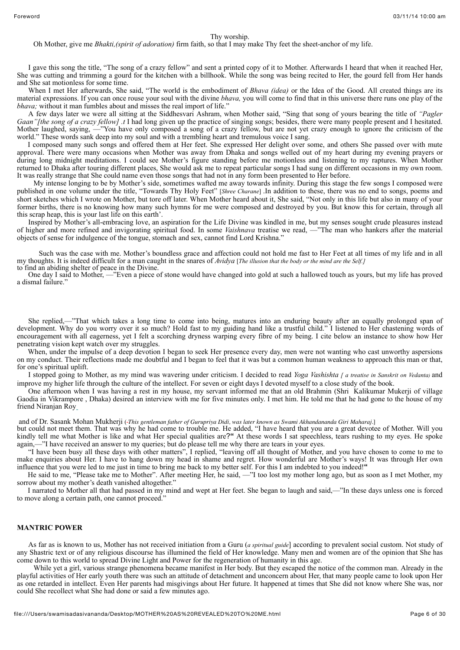#### Thy worship.

Oh Mother, give me *Bhakti,(spirit of adoration)* firm faith, so that I may make Thy feet the sheet-anchor of my life.

I gave this song the title, "The song of a crazy fellow" and sent a printed copy of it to Mother. Afterwards I heard that when it reached Her, She was cutting and trimming a gourd for the kitchen with a billhook. While the song was being recited to Her, the gourd fell from Her hands and She sat motionless for some time.

When I met Her afterwards, She said, "The world is the embodiment of *Bhava (idea)* or the Idea of the Good. All created things are its material expressions. If you can once rouse your soul with the divine *bhava,* you will come to find that in this universe there runs one play of the *bhava*; without it man fumbles about and misses the real import of life."

A few days later we were all sitting at the Siddhesvari Ashram, when Mother said, "Sing that song of yours bearing the title of *"Pagler Gaan"[the song of a crazy fellow] .t* I had long given up the practice of singing songs; besides, there were many people present and I hesitated. Mother laughed, saying, —"You have only composed a song of a crazy fellow, but are not yet crazy enough to ignore the criticism of the world." These words sank deep into my soul and with a trembling heart and tremulous voice I sang.

I composed many such songs and offered them at Her feet. She expressed Her delight over some, and others She passed over with mute approval. There were many occasions when Mother was away from Dhaka and songs welled out of my heart during my evening prayers or during long midnight meditations. I could see Mother's figure standing before me motionless and listening to my raptures. When Mother returned to Dhaka after touring different places, She would ask me to repeat particular songs I had sung on different occasions in my own room. It was really strange that She could name even those songs that had not in any form been presented to Her before.

My intense longing to be by Mother's side, sometimes wafted me away towards infinity. During this stage the few songs I composed were published in one volume under the title, "Towards Thy Holy Feet" [*Shree Charane*] .In addition to these, there was no end to songs, poems and short sketches which I wrote on Mother, but tore off later. When Mother heard about it, She said, "Not only in this life but also in many of your former births, there is no knowing how many such hymns for me were composed and destroyed by you. But know this for certain, through all this scrap heap, this is your last life on this earth'.

Inspired by Mother's all-embracing love, an aspiration for the Life Divine was kindled in me, but my senses sought crude pleasures instead of higher and more refined and invigorating spiritual food. In some *Vaishnava* treatise we read, —"The man who hankers after the material objects of sense for indulgence of the tongue, stomach and sex, cannot find Lord Krishna."

 Such was the case with me. Mother's boundless grace and affection could not hold me fast to Her Feet at all times of my life and in all my thoughts. It is indeed difficult for a man caught in the snares of *Avidya* [*The illusion that the body or the mind are the Self.]*

to find an abiding shelter of peace in the Divine.<br>One day I said to Mother, —"Even a piece of stone would have changed into gold at such a hallowed touch as yours, but my life has proved a dismal failure."

She replied,—"That which takes a long time to come into being, matures into an enduring beauty after an equally prolonged span of development. Why do you worry over it so much? Hold fast to my guiding hand like a trustful child." I listened to Her chastening words of encouragement with all eagerness, yet I felt a scorching dryness warping every fibre of my being. I cite below an instance to show how Her penetrating vision kept watch over my struggles.

When, under the impulse of a deep devotion I began to seek Her presence every day, men were not wanting who cast unworthy aspersions on my conduct. Their reflections made me doubtful and I began to feel that it was but a common human weakness to approach this man or that, for one's spiritual uplift.

I stopped going to Mother, as my mind was wavering under criticism. I decided to read *Yoga Vashishta [ a treatise in Sanskrit on Vedanta)* and improve my higher life through the culture of the intellect. For seven or eight days I devoted myself to a close study of the book.

One afternoon when I was having a rest in my house, my servant informed me that an old Brahmin (Shri Kalikumar Mukerji of village Gaodia in Vikrampore , Dhaka) desired an interview with me for five minutes only. I met him. He told me that he had gone to the house of my friend Niranjan Roy

and of Dr. Sasank Mohan Mukherji ( *This gentleman father of Gurupriya Didi, was later known as Swami Akhandananda Giri Maharaj*.]

but could not meet them. That was why he had come to trouble me. He added, "I have heard that you are a great devotee of Mother. Will you kindly tell me what Mother is like and what Her special qualities are?**"** At these words I sat speechless, tears rushing to my eyes. He spoke again,—"I have received an answer to my queries; but do please tell me why there are tears in your eyes.

"I have been busy all these days with other matters", I replied, "leaving off all thought of Mother, and you have chosen to come to me to make enquiries about Her. I have to hang down my head in shame and regret. How wonderful are Mother's ways! It was through Her own influence that you were led to me just in time to bring me back to my better self. For this I am indebted to you indeed!**"**

He said to me, "Please take me to Mother". After meeting Her, he said, —"I too lost my mother long ago, but as soon as I met Mother, my sorrow about my mother's death vanished altogether."

I narrated to Mother all that had passed in my mind and wept at Her feet. She began to laugh and said,—"In these days unless one is forced to move along a certain path, one cannot proceed."

## **MANTRIC POWER**

As far as is known to us, Mother has not received initiation from a Guru (*a spiritual guide*] according to prevalent social custom. Not study of any Shastric text or of any religious discourse has illumined the field of Her knowledge. Many men and women are of the opinion that She has come down to this world to spread Divine Light and Power for the regeneration of humanity in this age.

While yet a girl, various strange phenomena became manifest in Her body. But they escaped the notice of the common man. Already in the playful activities of Her early youth there was such an attitude of detachment and unconcern about Her, that many people came to look upon Her as one retarded in intellect. Even Her parents had misgivings about Her future. It happened at times that She did not know where She was, nor could She recollect what She had done or said a few minutes ago.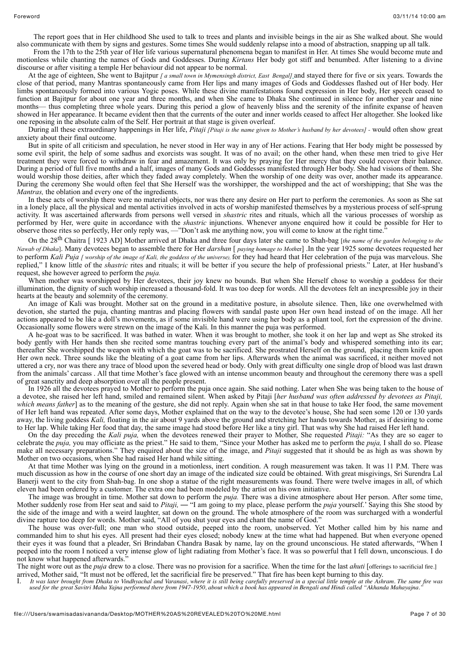The report goes that in Her childhood She used to talk to trees and plants and invisible beings in the air as She walked about. She would also communicate with them by signs and gestures. Some times She would suddenly relapse into a mood of abstraction, snapping up all talk.

From the 17th to the 25th year of Her life various supernatural phenomena began to manifest in Her. At times She would become mute and motionless while chanting the names of Gods and Goddesses. During *Kirtans* Her body got stiff and benumbed. After listening to a divine discourse or after visiting a temple Her behaviour did not appear to be normal.

At the age of eighteen, She went to Bajitpur *[ a small town in Mymensingh district, East Bengal]* and stayed there for five or six years. Towards the close of that period, many Mantras spontaneously came from Her lips and many images of Gods and Goddesses flashed out of Her body. Her limbs spontaneously formed into various Yogic poses. While these divine manifestations found expression in Her body, Her speech ceased to function at Bajitpur for about one year and three months, and when She came to Dhaka She continued in silence for another year and nine months— thus completing three whole years. During this period a glow of heavenly bliss and the serenity of the infinite expanse of heaven showed in Her appearance. It became evident then that the currents of the outer and inner worlds ceased to affect Her altogether. She looked like one reposing in the absolute calm of the Self. Her portrait at that stage is given overleaf.

During all these extraordinary happenings in Her life, *Pitaji [Pitaji is the name given to Mother's husband by her devotees] -* would often show great anxiety about their final outcome.

But in spite of all criticism and speculation, he never stood in Her way in any of Her actions. Fearing that Her body might be possessed by some evil spirit, the help of some sadhus and exorcists was sought. It was of no avail; on the other hand, when these men tried to give Her treatment they were forced to withdraw in fear and amazement. It was only by praying for Her mercy that they could recover their balance. During a period of full five months and a half, images of many Gods and Goddesses manifested through Her body. She had visions of them. She would worship those deities, after which they faded away completely. When the worship of one deity was over, another made its appearance. During the ceremony She would often feel that She Herself was the worshipper, the worshipped and the act of worshipping; that She was the *Mantras,* the oblation and every one of the ingredients.

In these acts of worship there were no material objects, nor was there any desire on Her part to perform the ceremonies. As soon as She sat in a lonely place, all the physical and mental activities involved in acts of worship manifested themselves by a mysterious process of self-sprung activity. It was ascertained afterwards from persons well versed in *shastric* rites and rituals, which all the various processes of worship as performed by Her, were quite in accordance with the *shastric* injunctions. Whenever anyone enquired how it could be possible for Her to observe those rites so perfectly, Her only reply was, —"Don't ask me anything now, you will come to know at the right time."

On the 28<sup>th</sup> Chaitra [ 1923 AD] Mother arrived at Dhaka and three four days later she came to Shah-bag [the name of the garden belonging to the *Nawab of Dhaka*]. Many devotees began to assemble there for Her *darshan* [ *paying homage to Moth*er] .In the year 1925 some devotees requested her to perform *Kali Puja [ worship of the image of Kali, the goddess of the universe),* for they had heard that Her celebration of the puja was marvelous. She replied," I know little of the *shastric* rites and rituals; it will be better if you secure the help of professional priests." Later, at Her husband's request, she however agreed to perform the *puja.*

When mother was worshipped by Her devotees, their joy knew no bounds. But when She Herself chose to worship a goddess for their illumination, the dignity of such worship increased a thousand-fold. It was too deep for words. All the devotees felt an inexpressible joy in their hearts at the beauty and solemnity of the ceremony.

An image of Kali was brought. Mother sat on the ground in a meditative posture, in absolute silence. Then, like one overwhelmed with devotion, she started the puja, chanting mantras and placing flowers with sandal paste upon Her own head instead of on the image. All her actions appeared to be like a doll's movements, as if some invisible hand were using her body as a pliant tool, fort the expression of the divine. Occasionally some flowers were strewn on the image of the Kali. In this manner the puja was performed.

A he-goat was to be sacrificed. It was bathed in water. When it was brought to mother, she took it on her lap and wept as She stroked its body gently with Her hands then she recited some mantras touching every part of the animal's body and whispered something into its ear; thereafter She worshipped the weapon with which the goat was to be sacrificed. She prostrated Herself on the ground, placing them knife upon Her own neck. Three sounds like the bleating of a goat came from her lips. Afterwards when the animal was sacrificed, it neither moved not uttered a cry, nor was there any trace of blood upon the severed head or body. Only with great difficulty one single drop of blood was last drawn from the animals' carcass . All that time Mother's face glowed with an intense uncommon beauty and throughout the ceremony there was a spell of great sanctity and deep absorption over all the people present.

In 1926 all the devotees prayed to Mother to perform the puja once again. She said nothing. Later when She was being taken to the house of a devotee, she raised her left hand, smiled and remained silent. When asked by Pitaji [*her husband was often addressed by devotees as Pitaji,* which means father] as to the meaning of the gesture, she did not reply. Again when she sat in that house to take Her food, the same movement of Her left hand was repeated. After some days, Mother explained that on the way to the devotee's house, She had seen some 120 or 130 yards away, the living goddess *Kali,* floating in the air about 9 yards above the ground and stretching her hands towards Mother, as if desiring to come to Her lap. While taking Her food that day, the same image had stood before Her like a tiny girl. That was why She had raised Her left hand.

On the day preceding the *Kali puja,* when the devotees renewed their prayer to Mother, She requested *Pitaji:* "As they are so eager to celebrate the *puja,* you may officiate as the priest." He said to them, "Since your Mother has asked me to perform the *puja,* I shall do so. Please make all necessary preparations." They enquired about the size of the image, and *Pitaji* suggested that it should be as high as was shown by Mother on two occasions, when She had raised Her hand while sitting.

At that time Mother was lying on the ground in a motionless, inert condition. A rough measurement was taken. It was 11 P.M. There was much discussion as how in the course of one short day an image of the indicated size could be obtained. With great misgivings, Sri Surendra Lal Banerji went to the city from Shah-bag. In one shop a statue of the right measurements was found. There were twelve images in all, of which eleven had been ordered by a customer. The extra one had been modeled by the artist on his own initiative.

The image was brought in time. Mother sat down to perform the *puja.* There was a divine atmosphere about Her person. After some time, Mother suddenly rose from Her seat and said to *Pitaji,* — "I am going to my place, please perform the *puja* yourself.' Saying this She stood by the side of the image and with a weird laughter, sat down on the ground. The whole atmosphere of the room was surcharged with a wonderful divine rapture too deep for words. Mother said, "All of you shut your eyes and chant the name of God."

The house was over-full; one man who stood outside, peeped into the room, unobserved. Yet Mother called him by his name and commanded him to shut his eyes. All present had their eyes closed; nobody knew at the time what had happened. But when everyone opened their eyes it was found that a pleader, Sri Brindaban Chandra Basak by name, lay on the ground unconscious. He stated afterwards, "When I peeped into the room I noticed a very intense glow of light radiating from Mother's face. It was so powerful that I fell down, unconscious. I do not know what happened afterwards."

The night wore out as the *puja* drew to a close. There was no provision for a sacrifice. When the time for the last *ahuti* [offerings to sacrificial fire.] arrived, Mother said, "It must not be offered, let the sacrificial fire be preserved." That fire has been kept burning to this day.

I. It was later brought from Dhaka to Vindhyachal and Varanasi, where it is still being carefully preserved in a special little temple at the Ashram. The same fire was<br>"used for the great Savitri Maha Yajna performed there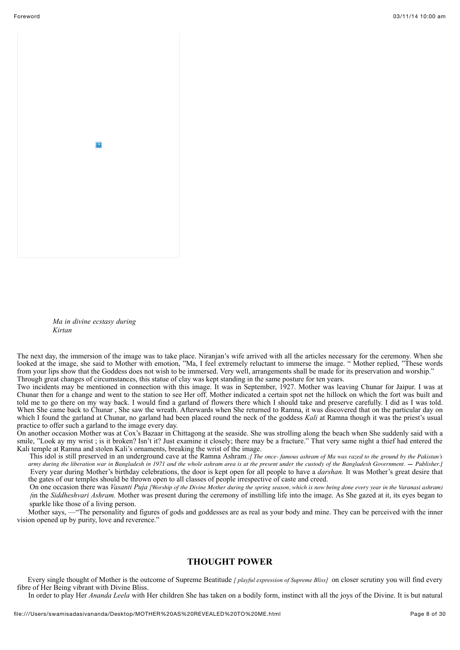|  | $\boxed{?}$ |  |
|--|-------------|--|
|  |             |  |
|  |             |  |

*Ma in divine ecstasy during Kirtan*

The next day, the immersion of the image was to take place. Niranjan's wife arrived with all the articles necessary for the ceremony. When she looked at the image, she said to Mother with emotion, "Ma, I feel extremely reluctant to immerse the image. " Mother replied, "These words from your lips show that the Goddess does not wish to be immersed. Very well, arrangements shall be made for its preservation and worship." Through great changes of circumstances, this statue of clay was kept standing in the same posture for ten years.

Two incidents may be mentioned in connection with this image. It was in September, 1927. Mother was leaving Chunar for Jaipur. I was at Chunar then for a change and went to the station to see Her off. Mother indicated a certain spot net the hillock on which the fort was built and told me to go there on my way back. I would find a garland of flowers there which I should take and preserve carefully. I did as I was told. When She came back to Chunar , She saw the wreath. Afterwards when She returned to Ramna, it was discovered that on the particular day on which I found the garland at Chunar, no garland had been placed round the neck of the goddess *Kali* at Ramna though it was the priest's usual practice to offer such a garland to the image every day.

On another occasion Mother was at Cox's Bazaar in Chittagong at the seaside. She was strolling along the beach when She suddenly said with a smile, "Look ay my wrist ; is it broken? Isn't it? Just examine it closely; there may be a fracture." That very same night a thief had entered the Kali temple at Ramna and stolen Kali's ornaments, breaking the wrist of the image.

 This idol is still preserved in an underground cave at the Ramna Ashram*.;[ The once- famous ashram of Ma was razed to the ground by the Pakistan's army during the liberation war in Bangladesh in 1971 and the whole ashram area is at the present under the custody of the Bangladesh Government. — Publisher.]* Every year during Mother's birthday celebrations, the door is kept open for all people to have a *darshan.* It was Mother's great desire that the gates of our temples should be thrown open to all classes of people irrespective of caste and creed.

 On one occasion there was *Vasanti Puja [Worship of the Divine Mother during the spring season, which is now being done every year in the Varanasi ashram) ]*in the *Siddheshvari Ashram.* Mother was present during the ceremony of instilling life into the image. As She gazed at it, its eyes began to sparkle like those of a living person.

Mother says, —"The personality and figures of gods and goddesses are as real as your body and mine. They can be perceived with the inner vision opened up by purity, love and reverence."

## **THOUGHT POWER**

Every single thought of Mother is the outcome of Supreme Beatitude *[ playful expression of Supreme Bliss]* on closer scrutiny you will find every fibre of Her Being vibrant with Divine Bliss.

In order to play Her *Ananda Leela* with Her children She has taken on a bodily form, instinct with all the joys of the Divine. It is but natural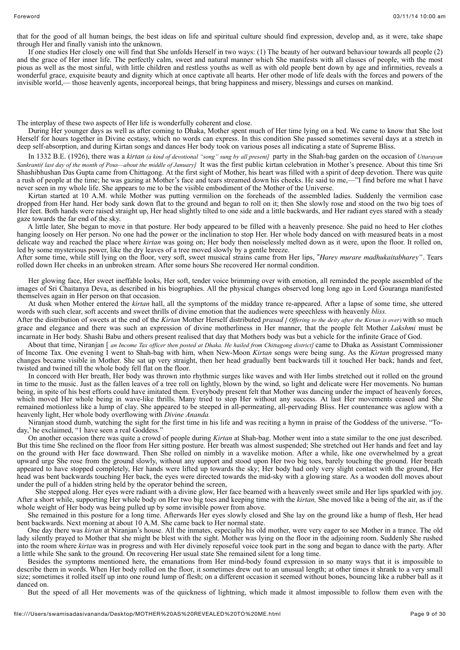that for the good of all human beings, the best ideas on life and spiritual culture should find expression, develop and, as it were, take shape through Her and finally vanish into the unknown.

If one studies Her closely one will find that She unfolds Herself in two ways: (1) The beauty of her outward behaviour towards all people (2) and the grace of Her inner life. The perfectly calm, sweet and natural manner which She manifests with all classes of people, with the most pious as well as the most sinful, with little children and restless youths as well as with old people bent down by age and infirmities, reveals a wonderful grace, exquisite beauty and dignity which at once captivate all hearts. Her other mode of life deals with the forces and powers of the invisible world,— those heavenly agents, incorporeal beings, that bring happiness and misery, blessings and curses on mankind.

The interplay of these two aspects of Her life is wonderfully coherent and close.

During Her younger days as well as after coming to Dhaka, Mother spent much of Her time lying on a bed. We came to know that She lost Herself for hours together in Divine ecstasy, which no words can express. In this condition She passed sometimes several days at a stretch in deep self-absorption, and during Kirtan songs and dances Her body took on various poses all indicating a state of Supreme Bliss.

In 1332 B.E. (1926), there was a *kirtan (a kind of devotional "song" sung by all present]* party in the Shah-bag garden on the occasion of *Uttarayan Sankranti( last day of the month of Pous—about the middle of January]* It was the first public kirtan celebration in Mother's presence. About this time Sri Shashibhushan Das Gupta came from Chittagong. At the first sight of Mother, his heart was filled with a spirit of deep devotion. There was quite a rush of people at the time; he was gazing at Mother's face and tears streamed down his cheeks. He said to me,—"I find before me what I have never seen in my whole life. She appears to me to be the visible embodiment of the Mother of the Universe.

Kirtan started at 10 A.M. while Mother was putting vermilion on the foreheads of the assembled ladies. Suddenly the vermilion case dropped from Her hand. Her body sank down flat to the ground and began to roll on it; then She slowly rose and stood on the two big toes of Her feet. Both hands were raised straight up, Her head slightly tilted to one side and a little backwards, and Her radiant eyes stared with a steady gaze towards the far end of the sky.

A little later, She began to move in that posture. Her body appeared to be filled with a heavenly presence. She paid no heed to Her clothes hanging loosely on Her person. No one had the power or the inclination to stop Her. Her whole body danced on with measured beats in a most delicate way and reached the place where *kirtan* was going on; Her body then noiselessly melted down as it were, upon the floor. It rolled on, led by some mysterious power, like the dry leaves of a tree moved slowly by a gentle breeze.

After some time, while still lying on the floor, very soft, sweet musical strains came from Her lips, "*Harey murare madhukaitabharey".* Tears rolled down Her cheeks in an unbroken stream. After some hours She recovered Her normal condition.

Her glowing face, Her sweet ineffable looks, Her soft, tender voice brimming over with emotion, all reminded the people assembled of the images of Sri Chaitanya Deva, as described in his biographies. All the physical changes observed long long ago in Lord Gouranga manifested themselves again in Her person on that occasion.

At dusk when Mother entered the *kirtan* hall, all the symptoms of the midday trance re-appeared. After a lapse of some time, she uttered words with such clear, soft accents and sweet thrills of divine emotion that the audiences were speechless with heavenly *bliss.*

After the distribution of sweets at the end of the *Kirtan* Mother Herself distributed *prasad [ Offering to the deity after the Kirtan is over)* with so much grace and elegance and there was such an expression of divine motherliness in Her manner, that the people felt Mother *Lakshmi* must be incarnate in Her body. Shashi Babu and others present realised that day that Mothers body was but a vehicle for the infinite Grace of God.

About that time, Niranjan [ *an Income Tax officer then posted at Dhaka. He hailed from Chittagong district]* came to Dhaka as Assistant Commissioner of Income Tax. One evening I went to Shah-bag with him, when New-Moon *Kirtan* songs were being sung. As the *Kirtan* progressed many changes became visible in Mother. She sat up very straight, then her head gradually bent backwards till it touched Her back; hands and feet, twisted and twined till the whole body fell flat on the floor.

In concord with Her breath, Her body was thrown into rhythmic surges like waves and with Her limbs stretched out it rolled on the ground in time to the music. Just as the fallen leaves of a tree roll on lightly, blown by the wind, so light and delicate were Her movements. No human being, in spite of his best efforts could have imitated them. Everybody present felt that Mother was dancing under the impact of heavenly forces, which moved Her whole being in wave-like thrills. Many tried to stop Her without any success. At last Her movements ceased and She remained motionless like a lump of clay. She appeared to be steeped in all-permeating, all-pervading Bliss. Her countenance was aglow with a heavenly light, Her whole body overflowing with *Divine Ananda.*

Niranjan stood dumb, watching the sight for the first time in his life and was reciting a hymn in praise of the Goddess of the universe. "Today,' he exclaimed, "1 have seen a real Goddess."

On another occasion there was quite a crowd of people during *Kirtan* at Shah-bag. Mother went into a state similar to the one just described. But this time She reclined on the floor from Her sitting posture. Her breath was almost suspended; She stretched out Her hands and feet and lay on the ground with Her face downward. Then She rolled on nimbly in a wavelike motion. After a while, like one overwhelmed by a great upward urge She rose from the ground slowly, without any support and stood upon Her two big toes, barely touching the ground. Her breath appeared to have stopped completely, Her hands were lifted up towards the sky; Her body had only very slight contact with the ground, Her head was bent backwards touching Her back, the eyes were directed towards the mid-sky with a glowing stare. As a wooden doll moves about under the pull of a hidden string held by the operator behind the screen,

 She stepped along. Her eyes were radiant with a divine glow, Her face beamed with a heavenly sweet smile and Her lips sparkled with joy. After a short while, supporting Her whole body on Her two big toes and keeping time with the *kirtan,* She moved like a being of the air, as if the whole weight of Her body was being pulled up by some invisible power from above.

She remained in this posture for a long time. Afterwards Her eyes slowly closed and She lay on the ground like a hump of flesh, Her head bent backwards. Next morning at about 10 A.M. She came back to Her normal state.

One day there was *kirtan* at Niranjan's house. All the inmates, especially his old mother, were very eager to see Mother in a trance. The old lady silently prayed to Mother that she might be blest with the sight. Mother was lying on the floor in the adjoining room. Suddenly She rushed into the room where *kirtan* was in progress and with Her divinely reposeful voice took part in the song and began to dance with the party. After a little while She sank to the ground. On recovering Her usual state She remained silent for a long time.

Besides the symptoms mentioned here, the emanations from Her mind-body found expression in so many ways that it is impossible to describe them in words. When Her body rolled on the floor, it sometimes drew out to an unusual length; at other times it shrank to a very small size; sometimes it rolled itself up into one round lump of flesh; on a different occasion it seemed without bones, bouncing like a rubber ball as it danced on.

But the speed of all Her movements was of the quickness of lightning, which made it almost impossible to follow them even with the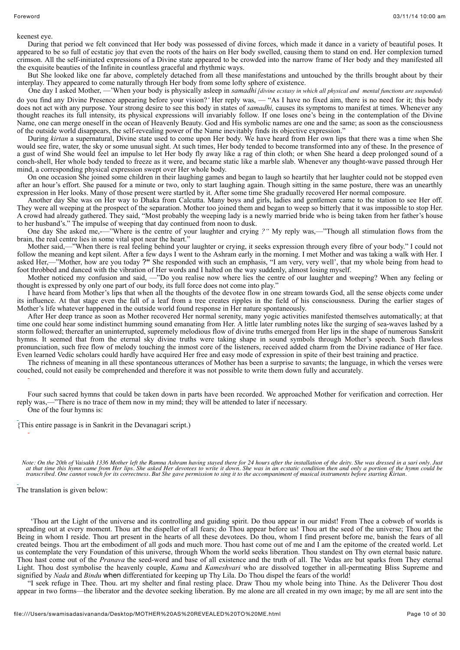keenest eye.

During that period we felt convinced that Her body was possessed of divine forces, which made it dance in a variety of beautiful poses. It appeared to be so full of ecstatic joy that even the roots of the hairs on Her body swelled, causing them to stand on end. Her complexion turned crimson. All the self-initiated expressions of a Divine state appeared to be crowded into the narrow frame of Her body and they manifested all the exquisite beauties of the Infinite in countless graceful and rhythmic ways.

But She looked like one far above, completely detached from all these manifestations and untouched by the thrills brought about by their interplay. They appeared to come naturally through Her body from some lofty sphere of existence.

One day I asked Mother, —'When your body is physically asleep in *samadhi [divine ecstasy in which all physical and mental functions are suspended)* do you find any Divine Presence appearing before your vision?*'* Her reply was, — "As I have no fixed aim, there is no need for it; this body does not act with any purpose. Your strong desire to see this body in states of *samadhi*, causes its symptoms to manifest at times. Whenever any thought reaches its full intensity, its physical expressions will invariably follow. If one loses one's being in the contemplation of the Divine Name, one can merge oneself in the ocean of Heavenly Beauty. God and His symbolic names are one and the same; as soon as the consciousness of the outside world disappears, the self-revealing power of the Name inevitably finds its objective expression."

During *kirtan* a supernatural, Divine state used to come upon Her body. We have heard from Her own lips that there was a time when She would see fire, water, the sky or some unusual sight. At such times, Her body tended to become transformed into any of these. In the presence of a gust of wind She would feel an impulse to let Her body fly away like a rag of thin cloth; or when She heard a deep prolonged sound of a conch-shell, Her whole body tended to freeze as it were, and became static like a marble slab. Whenever any thought-wave passed through Her mind, a corresponding physical expression swept over Her whole body.

On one occasion She joined some children in their laughing games and began to laugh so heartily that her laughter could not be stopped even after an hour's effort. She paused for a minute or two, only to start laughing again. Though sitting in the same posture, there was an unearthly expression in Her looks. Many of those present were startled by it. After some time She gradually recovered Her normal composure.

Another day She was on Her way to Dhaka from Calcutta. Many boys and girls, ladies and gentlemen came to the station to see Her off. They were all weeping at the prospect of the separation. Mother too joined them and began to weep so bitterly that it was impossible to stop Her. A crowd had already gathered. They said, "Most probably the weeping lady is a newly married bride who is being taken from her father's house to her husband's." The impulse of weeping that day continued from noon to dusk.

One day She asked me,—"Where is the centre of your laughter and crying ?" My reply was,—"Though all stimulation flows from the brain, the real centre lies in some vital spot near the heart."

Mother said,—"When there is real feeling behind your laughter or crying, it seeks expression through every fibre of your body." I could not follow the meaning and kept silent. After a few days I went to the Ashram early in the morning. I met Mother and was taking a walk with Her. I asked Her,—"Mother, how are you today ?**"** She responded with such an emphasis, "I am very, very well', that my whole being from head to foot throbbed and danced with the vibration of Her words and I halted on the way suddenly, almost losing myself.

Mother noticed my confusion and said, —"Do you realise now where lies the centre of our laughter and weeping? When any feeling or thought is expressed by only one part of our body, its full force does not come into play."

I have heard from Mother's lips that when all the thoughts of the devotee flow in one stream towards God, all the sense objects come under its influence. At that stage even the fall of a leaf from a tree creates ripples in the field of his consciousness. During the earlier stages of Mother's life whatever happened in the outside world found response in Her nature spontaneously.

After Her deep trance as soon as Mother recovered Her normal serenity, many yogic activities manifested themselves automatically; at that time one could hear some indistinct humming sound emanating from Her. A little later rumbling notes like the surging of sea-waves lashed by a storm followed; thereafter an uninterrupted, supremely melodious flow of divine truths emerged from Her lips in the shape of numerous Sanskrit hymns. It seemed that from the eternal sky divine truths were taking shape in sound symbols through Mother's speech. Such flawless pronunciation, such free flow of melody touching the inmost core of the listeners, received added charm from the Divine radiance of Her face. Even learned Vedic scholars could hardly have acquired Her free and easy mode of expression in spite of their best training and practice.

The richness of meaning in all these spontaneous utterances of Mother has been a surprise to savants; the language, in which the verses were couched, could not easily be comprehended and therefore it was not possible to write them down fully and accurately.

Four such sacred hymns that could be taken down in parts have been recorded. We approached Mother for verification and correction. Her reply was,—"There is no trace of them now in my mind; they will be attended to later if necessary. One of the four hymns is:

{This entire passage is in Sankrit in the Devanagari script.)

Note: On the 20th of Vaisakh 1336 Mother left the Ramna Ashram having stayed there for 24 hours after the installation of the deity. She was dressed in a sari only. Just<br>at that time this hymn came from Her lips. She asked

The translation is given below:

'Thou art the Light of the universe and its controlling and guiding spirit. Do thou appear in our midst! From Thee a cobweb of worlds is spreading out at every moment. Thou art the dispeller of all fears; do Thou appear before us! Thou art the seed of the universe; Thou art the Being in whom I reside. Thou art present in the hearts of all these devotees. Do thou, whom I find present before me, banish the fears of all created beings. Thou art the embodiment of all gods and much more. Thou hast come out of me and I am the epitome of the created world. Let us contemplate the very Foundation of this universe, through Whom the world seeks liberation. Thou standest on Thy own eternal basic nature. Thou hast come out of the *Pranava* the seed-word and base of all existence and the truth of all. The Vedas are but sparks from They eternal Light. Thou dost symbolise the heavenly couple, *Kama* and *Kameshvari* who are dissolved together in all-permeating Bliss Supreme and signified by *Nada* and *Bindu* when differentiated for keeping up Thy Lila. Do Thou dispel the fears of the world!

"I seek refuge in Thee. Thou. art my shelter and final resting place. Draw Thou my whole being into Thine. As the Deliverer Thou dost appear in two forms—the liberator and the devotee seeking liberation. By me alone are all created in my own image; by me all are sent into the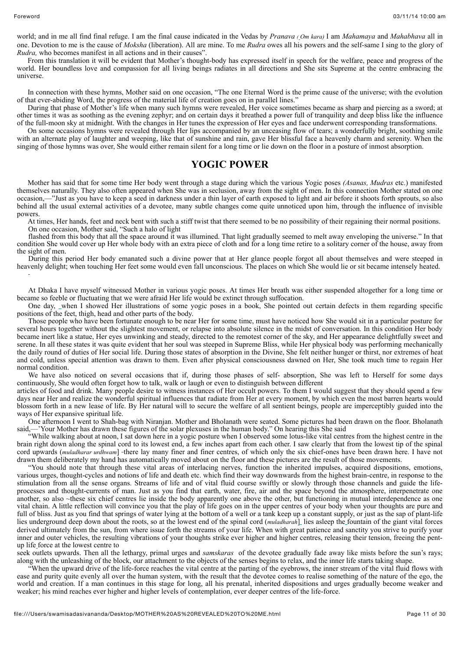world; and in me all find final refuge. I am the final cause indicated in the Vedas by *Pranava ( Om kara)* I am *Mahamaya* and *Mahabhava* all in one. Devotion to me is the cause of *Moksha* (liberation). All are mine. To me *Rudra* owes all his powers and the self-same I sing to the glory of *Rudra*, who becomes manifest in all actions and in their causes".

From this translation it will be evident that Mother's thought-body has expressed itself in speech for the welfare, peace and progress of the world. Her boundless love and compassion for all living beings radiates in all directions and She sits Supreme at the centre embracing the universe.

In connection with these hymns, Mother said on one occasion, "The one Eternal Word is the prime cause of the universe; with the evolution of that ever-abiding Word, the progress of the material life of creation goes on in parallel lines."

During that phase of Mother's life when many such hymns were revealed, Her voice sometimes became as sharp and piercing as a sword; at other times it was as soothing as the evening zephyr; and on certain days it breathed a power full of tranquility and deep bliss like the influence of the full-moon sky at midnight. With the changes in Her tunes the expression of Her eyes and face underwent corresponding transformations.

On some occasions hymns were revealed through Her lips accompanied by an unceasing flow of tears; a wonderfully bright, soothing smile with an alternate play of laughter and weeping, like that of sunshine and rain, gave Her blissful face a heavenly charm and serenity. When the singing of those hymns was over, She would either remain silent for a long time or lie down on the floor in a posture of inmost absorption.

## **YOGIC POWER**

Mother has said that for some time Her body went through a stage during which the various Yogic poses *(Asanas, Mudras* etc.) manifested themselves naturally. They also often appeared when She was in seclusion, away from the sight of men. In this connection Mother stated on one occasion,—"Just as you have to keep a seed in darkness under a thin layer of earth exposed to light and air before it shoots forth sprouts, so also behind all the usual external activities of a devotee, many subtle changes come quite unnoticed upon him, through the influence of invisible powers.

At times, Her hands, feet and neck bent with such a stiff twist that there seemed to be no possibility of their regaining their normal positions. On one occasion, Mother said, "Such a halo of light

flashed from this body that all the space around it was illumined. That light gradually seemed to melt away enveloping the universe." In that condition She would cover up Her whole body with an extra piece of cloth and for a long time retire to a solitary corner of the house, away from the sight of men.

During this period Her body emanated such a divine power that at Her glance people forgot all about themselves and were steeped in heavenly delight; when touching Her feet some would even fall unconscious. The places on which She would lie or sit became intensely heated.

At Dhaka I have myself witnessed Mother in various yogic poses. At times Her breath was either suspended altogether for a long time or became so feeble or fluctuating that we were afraid Her life would be extinct through suffocation.

One day, when I showed Her illustrations of some yogic poses in a book, She pointed out certain defects in them regarding specific positions of the feet, thigh, head and other parts of the body.

Those people who have been fortunate enough to be near Her for some time, must have noticed how She would sit in a particular posture for several hours together without the slightest movement, or relapse into absolute silence in the midst of conversation. In this condition Her body became inert like a statue, Her eyes unwinking and steady, directed to the remotest corner of the sky, and Her appearance delightfully sweet and serene. In all these states it was quite evident that her soul was steeped in Supreme Bliss, while Her physical body was performing mechanically the daily round of duties of Her social life. During those states of absorption in the Divine, She felt neither hunger or thirst, nor extremes of heat and cold, unless special attention was drawn to them. Even after physical consciousness dawned on Her, She took much time to regain Her normal condition.

We have also noticed on several occasions that if, during those phases of self- absorption, She was left to Herself for some days continuously, She would often forget how to talk, walk or laugh or even to distinguish between different

articles of food and drink. Many people desire to witness instances of Her occult powers. To them I would suggest that they should spend a few days near Her and realize the wonderful spiritual influences that radiate from Her at every moment, by which even the most barren hearts would blossom forth in a new lease of life. By Her natural will to secure the welfare of all sentient beings, people are imperceptibly guided into the ways of Her expansive spiritual life.

One afternoon I went to Shah-bag with Niranjan. Mother and Bholanath were seated. Some pictures had been drawn on the floor. Bholanath said,—'Your Mother has drawn these figures of the solar plexuses in the human body." On hearing this She said

"While walking about at noon, I sat down here in a yogic posture when I observed some lotus-like vital centres from the highest centre in the brain right down along the spinal cord to its lowest end, a few inches apart from each other. I saw clearly that from the lowest tip of the spinal cord upwards (*muladharar urdhwam*] -there lay many finer and finer centres, of which only the six chief-ones have been drawn here. I have not drawn them deliberately my hand has automatically moved about on the floor and these pictures are the result of those movements.

"You should note that through these vital areas of interlacing nerves, function the inherited impulses, acquired dispositions, emotions, various urges, thought-cycles and notions of life and death etc. which find their way downwards from the highest brain-centre, in response to the stimulation from all the sense organs. Streams of life and of vital fluid course swiftly or slowly through those channels and guide the lifeprocesses and thought-currents of man. Just as you find that earth, water, fire, air and the space beyond the atmosphere, interpenetrate one another, so also ~these six chief centres lie inside the body apparently one above the other, but functioning in mutual interdependence as one vital chain. A little reflection will convince you that the play of life goes on in the upper centres of your body when your thoughts are pure and full of bliss. Just as you find that springs of water lying at the bottom of a well or a tank keep up a constant supply, or just as the sap of plant-life lies underground deep down about the roots, so at the lowest end of the spinal cord (*muladharah*] lies asleep the fountain of the giant vital forces derived ultimately from the sun, from where issue forth the streams of your life. When with great patience and sanctity you strive to purify your inner and outer vehicles, the resulting vibrations of your thoughts strike ever higher and higher centres, releasing their tension, freeing the pentup life force at the lowest centre to

seek outlets upwards. Then all the lethargy, primal urges and *samskaras* of the devotee gradually fade away like mists before the sun's rays; along with the unleashing of the block, our attachment to the objects of the senses begins to relax, and the inner life starts taking shape.

When the upward drive of the life-force reaches the vital centre at the parting of the eyebrows, the inner stream of the vital fluid flows with ease and purity quite evenly all over the human system, with the result that the devotee comes to realise something of the nature of the ego, the world and creation. If a man continues in this stage for long, all his prenatal, inherited dispositions and urges gradually become weaker and weaker; his mind reaches ever higher and higher levels of contemplation, ever deeper centres of the life-force.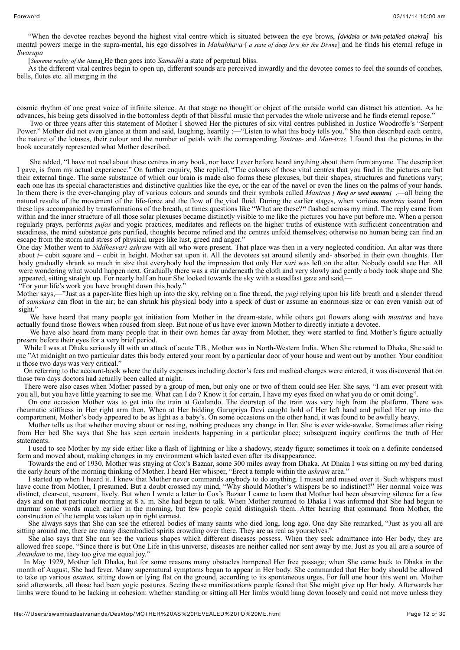"When the devotee reaches beyond the highest vital centre which is situated between the eye brows, *(dvidala or twin-petalled chakra]* his mental powers merge in the supra-mental, his ego dissolves in *Mahabhava-*[*a state of deep love for the Divine*] and he finds his eternal refuge in *Swarupa*

[*Supreme reality of the* Atma) He then goes into *Samadhi* a state of perpetual bliss.

As the different vital centres begin to open up, different sounds are perceived inwardly and the devotee comes to feel the sounds of conches, bells, flutes etc. all merging in the

cosmic rhythm of one great voice of infinite silence. At that stage no thought or object of the outside world can distract his attention. As he advances, his being gets dissolved in the bottomless depth of that blissful music that pervades the whole universe and he finds eternal repose."

Two or three years after this statement of Mother I showed Her the pictures of six vital centres published in Justice Woodroffe's "Serpent Power." Mother did not even glance at them and said, laughing, heartily :—"Listen to what this body tells you." She then described each centre, the nature of the lotuses, their colour and the number of petals with the corresponding *Yantras-* and *Man tras.* I found that the pictures in the book accurately represented what Mother described.

She added, "I have not read about these centres in any book, nor have I ever before heard anything about them from anyone. The description I gave, is from my actual experience." On further enquiry, She replied, "The colours of those vital centres that you find in the pictures are but their external tinge. The same substance of which our brain is made also forms these plexuses, but their shapes, structures and functions vary; each one has its special characteristics and distinctive qualities like the eye, or the ear of the navel or even the lines on the palms of your hands. In them there is the ever-changing play of various colours and sounds and their symbols called *Mantras [ Beej or seed mantra]* ,—all being the natural results of the movement of the life-force and the flow of the vital fluid. During the earlier stages, when various *mantras* issued from these lips accompanied by transformations of the breath, at times questions like "What are these?*"* flashed across my mind. The reply came from within and the inner structure of all those solar plexuses became distinctly visible to me like the pictures you have put before me. When a person regularly prays, performs *pujas* and yogic practices, meditates and reflects on the higher truths of existence with sufficient concentration and steadiness, the mind substance gets purified, thoughts become refined and the centres unfold themselves; otherwise no human being can find an escape from the storm and stress of physical urges like lust, greed and anger."

One day Mother went to *Siddhesvari ashram* with all who were present. That place was then in a very neglected condition. An altar was there about  $i$  cubit square and  $\sim$  cubit in height. Mother sat upon it. All the devotees sat around silently and- absorbed in their own thoughts. Her body gradually shrank so much in size that everybody had the impression that only Her *sari* was left on the altar. Nobody could see Her. All were wondering what would happen next. Gradually there was a stir underneath the cloth and very slowly and gently a body took shape and She appeared, sitting straight up. For nearly half an hour She looked towards the sky with a steadfast gaze and said,-

"For your life's work you have brought down this body."

Mother says,—"Just as a paper-kite flies high up into the sky, relying on a fine thread, the *yogi* relying upon his life breath and a slender thread of *samskara* can float in the air; he can shrink his physical body into a speck of dust or assume an enormous size or can even vanish out of sight.'

We have heard that many people got initiation from Mother in the dream-state, while others got flowers along with *mantras* and have actually found those flowers when roused from sleep. But none of us have ever known Mother to directly initiate a devotee.

We have also heard from many people that in their own homes far away from Mother, they were startled to find Mother's figure actually present before their eyes for a very brief period.

While I was at Dhaka seriously ill with an attack of acute T.B., Mother was in North-Western India. When She returned to Dhaka, She said to me "At midnight on two particular dates this body entered your room by a particular door of your house and went out by another. Your condition n those two days was very critical."

On referring to the account-book where the daily expenses including doctor's fees and medical charges were entered, it was discovered that on those two days doctors had actually been called at night.

There were also cases when Mother passed by a group of men, but only one or two of them could see Her. She says, "I am ever present with you all, but you have little yearning to see me. What can I do ? Know it for certain, I have my eyes fixed on what you do or omit doing".

On one occasion Mother was to get into the train at Goalando. The doorstep of the train was very high from the platform. There was rheumatic stiffness in Her right arm then. When at Her bidding Gurupriya Devi caught hold of Her left hand and pulled Her up into the compartment, Mother's body appeared to be as light as a baby's. On some occasions on the other hand, it was found to be awfully heavy.

Mother tells us that whether moving about or resting, nothing produces any change in Her. She is ever wide-awake. Sometimes after rising from Her bed She says that She has seen certain incidents happening in a particular place; subsequent inquiry confirms the truth of Her statements.

I used to see Mother by my side either like a flash of lightning or like a shadowy, steady figure; sometimes it took on a definite condensed form and moved about, making changes in my environment which lasted even after its disappearance.

Towards the end of 1930, Mother was staying at Cox's Bazaar, some 300 miles away from Dhaka. At Dhaka I was sitting on my bed during the early hours of the morning thinking of Mother. I heard Her whisper, "Erect a temple within the *ashram* area."

I started up when I heard it. I knew that Mother never commands anybody to do anything. I mused and mused over it. Such whispers must have come from Mother, I presumed. But a doubt crossed my mind, "Why should Mother's whispers be so indistinct?**"** Her normal voice was distinct, clear-cut, resonant, lively. But when I wrote a letter to Cox's Bazaar I came to learn that Mother had been observing silence for a few days and on that particular morning at 8 a. m. She had begun to talk. When Mother returned to Dhaka I was informed that She had begun to murmur some words much earlier in the morning, but few people could distinguish them. After hearing that command from Mother, the construction of the temple was taken up in right earnest.

She always says that She can see the ethereal bodies of many saints who died long, long ago. One day She remarked, "Just as you all are sitting around me, there are many disembodied spirits crowding over there. They are as real as yourselves."

She also says that She can see the various shapes which different diseases possess. When they seek admittance into Her body, they are allowed free scope. "Since there is but One Life in this universe, diseases are neither called nor sent away by me. Just as you all are a source of *Anandam* to me, they too give me equal joy."

In May 1929, Mother left Dhaka, but for some reasons many obstacles hampered Her free passage; when She came back to Dhaka in the month of August, She had fever. Many supernatural symptoms began to appear in Her body. She commanded that Her body should be allowed to take up various *asanas,* sitting down or lying flat on the ground, according to its spontaneous urges. For full one hour this went on. Mother said afterwards, all those had been yogic postures. Seeing these manifestations people feared that She might give up Her body. Afterwards her limbs were found to be lacking in cohesion: whether standing or sitting all Her limbs would hang down loosely and could not move unless they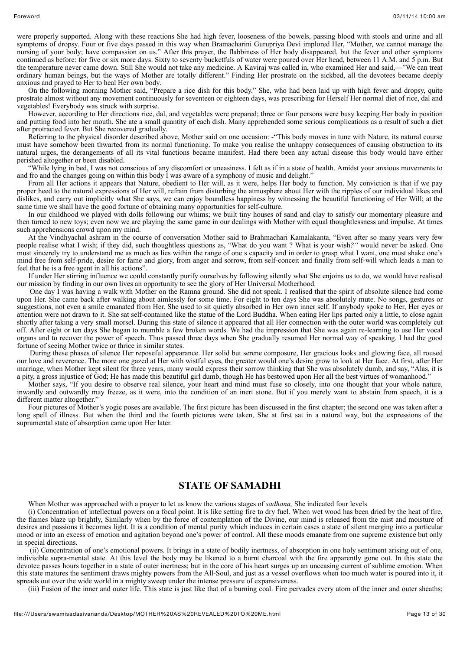were properly supported. Along with these reactions She had high fever, looseness of the bowels, passing blood with stools and urine and all symptoms of dropsy. Four or five days passed in this way when Bramacharini Gurupriya Devi implored Her, "Mother, we cannot manage the nursing of your body; have compassion on us." After this prayer, the flabbiness of Her body disappeared, but the fever and other symptoms continued as before: for five or six more days. Sixty to seventy bucketfuls of water were poured over Her head, between 11 A.M. and 5 p.m. But the temperature never came down. Still She would not take any medicine. A Kaviraj was called in, who examined Her and said,—"We can treat ordinary human beings, but the ways of Mother are totally different." Finding Her prostrate on the sickbed, all the devotees became deeply anxious and prayed to Her to heal Her own body.

On the following morning Mother said, "Prepare a rice dish for this body." She, who had been laid up with high fever and dropsy, quite prostrate almost without any movement continuously for seventeen or eighteen days, was prescribing for Herself Her normal diet of rice, dal and vegetables! Everybody was struck with surprise.

However, according to Her directions rice, dal, and vegetables were prepared; three or four persons were busy keeping Her body in position and putting food into her mouth. She ate a small quantity of each dish. Many apprehended some serious complications as a result of such a diet after protracted fever. But She recovered gradually.

Referring to the physical disorder described above, Mother said on one occasion: -"This body moves in tune with Nature, its natural course must have somehow been thwarted from its normal functioning. To make you realise the unhappy consequences of causing obstruction to its natural urges, the derangements of all its vital functions became manifest. Had there been any actual disease this body would have either perished altogether or been disabled.

"While lying in bed, I was not conscious of any discomfort or uneasiness. I felt as if in a state of health. Amidst your anxious movements to and fro and the changes going on within this body I was aware of a symphony of music and delight."

From all Her actions it appears that Nature, obedient to Her will, as it were, helps Her body to function. My conviction is that if we pay proper heed to the natural expressions of Her will, refrain from disturbing the atmosphere about Her with the ripples of our individual likes and dislikes, and carry out implicitly what She says, we can enjoy boundless happiness by witnessing the beautiful functioning of Her Will; at the same time we shall have the good fortune of obtaining many opportunities for self-culture.

In our childhood we played with dolls following our whims; we built tiny houses of sand and clay to satisfy our momentary pleasure and then turned to new toys; even now we are playing the same game in our dealings with Mother with equal thoughtlessness and impulse. At times such apprehensions crowd upon my mind.

At the Vindhyachal ashram in the course of conversation Mother said to Brahmachari Kamalakanta, "Even after so many years very few people realise what I wish; if they did, such thoughtless questions as, "What do you want ? What is your wish*?"* would never be asked. One must sincerely try to understand me as much as lies within the range of one s capacity and in order to grasp what I want, one must shake one's mind free from self-pride, desire for fame and glory, from anger and sorrow, from self-conceit and finally from self-will which leads a man to feel that he is a free agent in all his actions".

If under Her stirring influence we could constantly purify ourselves by following silently what She enjoins us to do, we would have realised our mission by finding in our own lives an opportunity to see the glory of Her Universal Motherhood.

One day I was having a walk with Mother on the Ramna ground. She did not speak. I realised that the spirit of absolute silence had come upon Her. She came back after walking about aimlessly for some time. For eight to ten days She was absolutely mute. No songs, gestures or suggestions, not even a smile emanated from Her. She used to sit quietly absorbed in Her own inner self. If anybody spoke to Her, Her eyes or attention were not drawn to it. She sat self-contained like the statue of the Lord Buddha. When eating Her lips parted only a little, to close again shortly after taking a very small morsel. During this state of silence it appeared that all Her connection with the outer world was completely cut off. After eight or ten days She began to mumble a few broken words. We had the impression that She was again re-learning to use Her vocal organs and to recover the power of speech. Thus passed three days when She gradually resumed Her normal way of speaking. I had the good fortune of seeing Mother twice or thrice in similar states.

During these phases of silence Her reposeful appearance. Her solid but serene composure, Her gracious looks and glowing face, all roused our love and reverence. The more one gazed at Her with wistful eyes, the greater would one's desire grow to look at Her face. At first, after Her marriage, when Mother kept silent for three years, many would express their sorrow thinking that She was absolutely dumb, and say, "Alas, it is a pity, a gross injustice of God; He has made this beautiful girl dumb, though He has bestowed upon Her all the best virtues of womanhood."

Mother says, "If you desire to observe real silence, your heart and mind must fuse so closely, into one thought that your whole nature, inwardly and outwardly may freeze, as it were, into the condition of an inert stone. But if you merely want to abstain from speech, it is a different matter altogether."

Four pictures of Mother's yogic poses are available. The first picture has been discussed in the first chapter; the second one was taken after a long spell of illness. But when the third and the fourth pictures were taken, She at first sat in a natural way, but the expressions of the supramental state of absorption came upon Her later.

# **STATE OF SAMADHI**

When Mother was approached with a prayer to let us know the various stages of *sadhana,* She indicated four levels

(i) Concentration of intellectual powers on a focal point. It is like setting fire to dry fuel. When wet wood has been dried by the heat of fire, the flames blaze up brightly, Similarly when by the force of contemplation of the Divine, our mind is released from the mist and moisture of desires and passions it becomes light. It is a condition of mental purity which induces in certain cases a state of silent merging into a particular mood or into an excess of emotion and agitation beyond one's power of control. All these moods emanate from one supreme existence but only in special directions.

(ii) Concentration of one's emotional powers. It brings in a state of bodily inertness, of absorption in one holy sentiment arising out of one, indivisible supra-mental state. At this level the body may be likened to a burnt charcoal with the fire apparently gone out. In this state the devotee passes hours together in a state of outer inertness; but in the core of his heart surges up an unceasing current of sublime emotion. When this state matures the sentiment draws mighty powers from the All-Soul, and just as a vessel overflows when too much water is poured into it, it spreads out over the wide world in a mighty sweep under the intense pressure of expansiveness.

(iii) Fusion of the inner and outer life. This state is just like that of a burning coal. Fire pervades every atom of the inner and outer sheaths;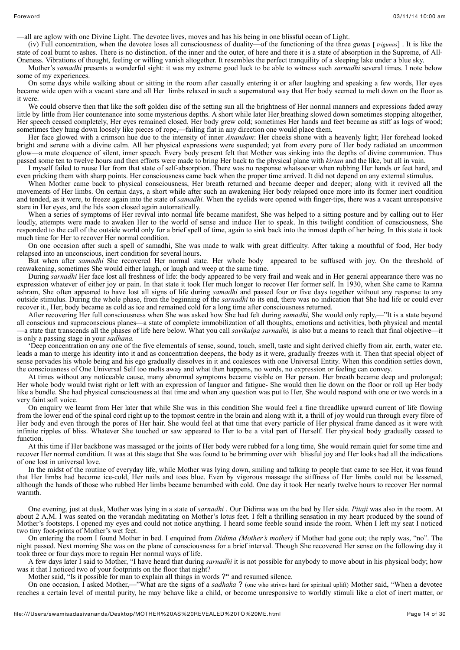—all are aglow with one Divine Light. The devotee lives, moves and has his being in one blissful ocean of Light.

(iv) Full concentration, when the devotee loses all consciousness of duality—of the functioning of the three *gunas* [ *trigunas*] . It is like the state of coal burnt to ashes. There is no distinction. of the inner and the outer, of here and there it is a state of absorption in the Supreme, of All-Oneness. Vibrations of thought, feeling or willing vanish altogether. It resembles the perfect tranquility of a sleeping lake under a blue sky.

Mother's *samadhi* presents a wonderful sight: it was my extreme good luck to be able to witness such *sarnadhi* several times. I note below some of my experiences.

On some days while walking about or sitting in the room after casually entering it or after laughing and speaking a few words, Her eyes became wide open with a vacant stare and all Her limbs relaxed in such a supernatural way that Her body seemed to melt down on the floor as it were.

We could observe then that like the soft golden disc of the setting sun all the brightness of Her normal manners and expressions faded away little by little from Her countenance into some mysterious depths. A short while later Her breathing slowed down sometimes stopping altogether, Her speech ceased completely, Her eyes remained closed. Her body grew cold; sometimes Her hands and feet became as stiff as logs of wood; sometimes they hung down loosely like pieces of rope,—failing flat in any direction one would place them.

Her face glowed with a crimson hue due to the intensity of inner *Anandam*: Her cheeks shone with a heavenly light; Her forehead looked bright and serene with a divine calm. All her physical expressions were suspended; yet from every pore of Her body radiated an uncommon glow—a mute eloquence of silent, inner speech. Every body present felt that Mother was sinking into the depths of divine communion. Thus passed some ten to twelve hours and then efforts were made to bring Her back to the physical plane with *kirtan* and the like, but all in vain.

I myself failed to rouse Her from that state of self-absorption. There was no response whatsoever when rubbing Her hands or feet hard, and even pricking them with sharp points. Her consciousness came back when the proper time arrived. It did not depend on any external stimulus.

When Mother came back to physical consciousness, Her breath returned and became deeper and deeper; along with it revived all the movements of Her limbs. On certain days, a short while after such an awakening Her body relapsed once more into its former inert condition and tended, as it were, to freeze again into the state of *samadhi.* When the eyelids were opened with finger-tips, there was a vacant unresponsive stare in Her eyes, and the lids soon closed again automatically.

When a series of symptoms of Her revival into normal life became manifest, She was helped to a sitting posture and by calling out to Her loudly, attempts were made to awaken Her to the world of sense and induce Her to speak. In this twilight condition of consciousness, She responded to the call of the outside world only for a brief spell of time, again to sink back into the inmost depth of her being. In this state it took much time for Her to recover Her normal condition.

On one occasion after such a spell of samadhi, She was made to walk with great difficulty. After taking a mouthful of food, Her body relapsed into an unconscious, inert condition for several hours.

But when after *samadhi* She recovered Her normal state. Her whole body appeared to be suffused with joy. On the threshold of reawakening, sometimes She would either laugh, or laugh and weep at the same time.

During *sarnadhi* Her face lost all freshness of life: the body appeared to be very frail and weak and in Her general appearance there was no expression whatever of either joy or pain. In that state it took Her much longer to recover Her former self. In 1930, when She came to Ramna ashram, She often appeared to have lost all signs of life during *samadhi* and passed four or five days together without any response to any outside stimulus. During the whole phase, from the beginning of the *sarnadhi* to its end, there was no indication that She had life or could ever recover it., Her, body became as cold as ice and remained cold for a long time after consciousness returned.

After recovering Her full consciousness when She was asked how She had felt during *samadhi,* She would only reply,—"It is a state beyond all conscious and supraconscious planes—a state of complete immobilization of all thoughts, emotions and activities, both physical and mental —a state that transcends all the phases of life here below. What you call *savikalpa sarnadhi,* is also but a means to reach that final objective—it is only a passing stage in your *sadhana.*

'Deep concentration on any one of the five elementals of sense, sound, touch, smell, taste and sight derived chiefly from air, earth, water etc. leads a man to merge his identity into it and as concentration deepens, the body as it were, gradually freezes with it. Then that special object of sense pervades his whole being and his ego gradually dissolves in it and coalesces with one Universal Entity. When this condition settles down, the consciousness of One Universal Self too melts away and what then happens, no words, no expression or feeling can convey.

At times without any noticeable cause, many abnormal symptoms became visible on Her person. Her breath became deep and prolonged; Her whole body would twist right or left with an expression of languor and fatigue- She would then lie down on the floor or roll up Her body like a bundle. She had physical consciousness at that time and when any question was put to Her, She would respond with one or two words in a very faint soft voice.

On enquiry we learnt from Her later that while She was in this condition She would feel a fine threadlike upward current of life flowing from the lower end of the spinal cord right up to the topmost centre in the brain and along with it, a thrill of joy would run through every fibre of Her body and even through the pores of Her hair. She would feel at that time that every particle of Her physical frame danced as it were with infinite ripples of bliss. Whatever She touched or saw appeared to Her to be a vital part of Herself. Her physical body gradually ceased to function.

At this time if Her backbone was massaged or the joints of Her body were rubbed for a long time, She would remain quiet for some time and recover Her normal condition. It was at this stage that She was found to be brimming over with blissful joy and Her looks had all the indications of one lost in universal love.

In the midst of the routine of everyday life, while Mother was lying down, smiling and talking to people that came to see Her, it was found that Her limbs had become ice-cold, Her nails and toes blue. Even by vigorous massage the stiffness of Her limbs could not be lessened, although the hands of those who rubbed Her limbs became benumbed with cold. One day it took Her nearly twelve hours to recover Her normal warmth.

One evening, just at dusk, Mother was lying in a state of *sarnadhi* . Our Didima was on the bed by Her side. *Pitaji* was also in the room. At about 2 A.M. I was seated on the verandah meditating on Mother's lotus feet. I felt a thrilling sensation in my heart produced by the sound of Mother's footsteps. I opened my eyes and could not notice anything. I heard some feeble sound inside the room. When I left my seat I noticed two tiny foot-prints of Mother's wet feet.

On entering the room I found Mother in bed. I enquired from *Didima (Mother's mother)* if Mother had gone out; the reply was, "no". The night passed. Next morning She was on the plane of consciousness for a brief interval. Though She recovered Her sense on the following day it took three or four days more to regain Her normal ways of life.

A few days later I said to Mother, "I have heard that during *sarnadhi* it is not possible for anybody to move about in his physical body; how was it that I noticed two of your footprints on the floor that night?

Mother said, "Is it possible for man to explain all things in words ?**"** and resumed silence.

On one occasion, I asked Mother,—"What are the signs of a *sadhaka* ? (one who strives hard for spiritual uplift) Mother said, "When a devotee reaches a certain level of mental purity, he may behave like a child, or become unresponsive to worldly stimuli like a clot of inert matter, or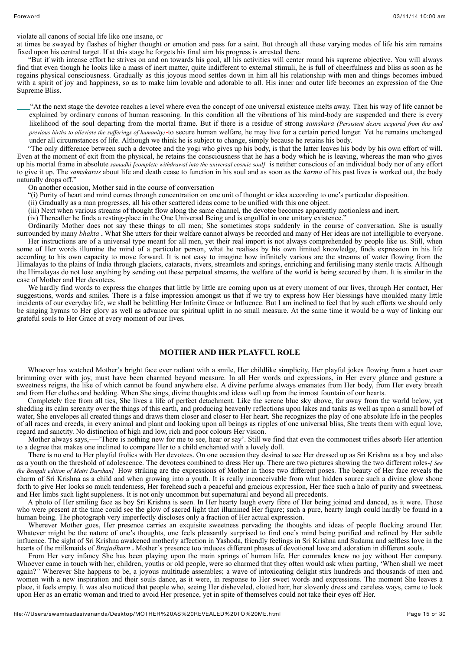#### violate all canons of social life like one insane, or

at times be swayed by flashes of higher thought or emotion and pass for a saint. But through all these varying modes of life his aim remains fixed upon his central target. If at this stage he forgets his final aim his progress is arrested there.

"But if with intense effort he strives on and on towards his goal, all his activities will center round his supreme objective. You will always find that even though he looks like a mass of inert matter, quite indifferent to external stimuli, he is full of cheerfulness and bliss as soon as he regains physical consciousness. Gradually as this joyous mood settles down in him all his relationship with men and things becomes imbued with a spirit of joy and happiness, so as to make him lovable and adorable to all. His inner and outer life becomes an expression of the One Supreme Bliss.

 "At the next stage the devotee reaches a level where even the concept of one universal existence melts away. Then his way of life cannot be explained by ordinary canons of human reasoning. In this condition all the vibrations of his mind-body are suspended and there is every likelihood of the soul departing from the mortal frame. But if there is a residue of strong *samskara (Persistent desire acquired from this and previous births to alleviate the sufferings of humanity)* to secure human welfare, he may live for a certain period longer. Yet he remains unchanged under all circumstances of life. Although we think he is subject to change, simply because he retains his body.

"The only difference between such a devotee and the yogi who gives up his body, is that the latter leaves his body by his own effort of will. Even at the moment of exit from the physical, he retains the consciousness that he has a body which he is leaving, whereas the man who gives up his mortal frame in absolute *samadhi [complete withdrawal into the universal cosmic soul]* is neither conscious of an individual body nor of any effort to give it up. The *samskaras* about life and death cease to function in his soul and as soon as the *karma* of his past lives is worked out, the body naturally drops off."

On another occasion, Mother said in the course of conversation

- "(i) Purity of heart and mind comes through concentration on one unit of thought or idea according to one's particular disposition.
- (ii) Gradually as a man progresses, all his other scattered ideas come to be unified with this one object.
- (iii) Next when various streams of thought flow along the same channel, the devotee becomes apparently motionless and inert.

(iv) Thereafter he finds a resting-place in the One Universal Being and is engulfed in one unitary existence."

Ordinarily Mother does not say these things to all men; She sometimes stops suddenly in the course of conversation. She is usually surrounded by many *bhakta .* What She utters for their welfare cannot always be recorded and many of Her ideas are not intelligible to everyone. Her instructions are of a universal type meant for all men, yet their real import is not always comprehended by people like us. Still, when

some of Her words illumine the mind of a particular person, what he realises by his own limited knowledge, finds expression in his life according to his own capacity to move forward. It is not easy to imagine how infinitely various are the streams of water flowing from the Himalayas to the plains of India through glaciers, cataracts, rivers, streamlets and springs, enriching and fertilising many sterile tracts. Although the Himalayas do not lose anything by sending out these perpetual streams, the welfare of the world is being secured by them. It is similar in the case of Mother and Her devotees.

We hardly find words to express the changes that little by little are coming upon us at every moment of our lives, through Her contact, Her suggestions, words and smiles. There is a false impression amongst us that if we try to express how Her blessings have moulded many little incidents of our everyday life, we shall be belittling Her Infinite Grace or Influence. But I am inclined to feel that by such efforts we should only be singing hymns to Her glory as well as advance our spiritual uplift in no small measure. At the same time it would be a way of linking our grateful souls to Her Grace at every moment of our lives.

## **MOTHER AND HER PLAYFUL ROLE**

Whoever has watched Mother's bright face ever radiant with a smile, Her childlike simplicity, Her playful jokes flowing from a heart ever brimming over with joy, must have been charmed beyond measure. In all Her words and expressions, in Her every glance and gesture a sweetness reigns, the like of which cannot be found anywhere else. A divine perfume always emanates from Her body, from Her every breath and from Her clothes and bedding. When She sings, divine thoughts and ideas well up from the inmost fountain of our hearts.

Completely free from all ties, She lives a life of perfect detachment. Like the serene blue sky above, far away from the world below, yet shedding its calm serenity over the things of this earth, and producing heavenly reflections upon lakes and tanks as well as upon a small bowl of water, She envelopes all created things and draws them closer and closer to Her heart. She recognizes the play of one absolute life in the peoples of all races and creeds, in every animal and plant and looking upon all beings as ripples of one universal bliss, She treats them with equal love, regard and sanctity. No distinction of high and low, rich and poor colours Her vision.

Mother always says,—'There is nothing new for me to see, hear or say'. Still we find that even the commonest trifles absorb Her attention to a degree that makes one inclined to compare Her to a child enchanted with a lovely doll.

There is no end to Her playful frolics with Her devotees. On one occasion they desired to see Her dressed up as Sri Krishna as a boy and also as a youth on the threshold of adolescence. The devotees combined to dress Her up. There are two pictures showing the two different roles-*[ See the Bengali edition of Matri Darshan]* How striking are the expressions of Mother in those two different poses. The beauty of Her face reveals the charm of Sri Krishna as a child and when growing into a youth. It is really inconceivable from what hidden source such a divine glow shone forth to give Her looks so much tenderness, Her forehead such a peaceful and gracious expression, Her face such a halo of purity and sweetness, and Her limbs such light suppleness. It is not only uncommon but supernatural and beyond all precedents.

A photo of Her smiling face as boy Sri Krishna is seen. In Her hearty laugh every fibre of Her being joined and danced, as it were. Those who were present at the time could see the glow of sacred light that illumined Her figure; such a pure, hearty laugh could hardly be found in a human being. The photograph very imperfectly discloses only a fraction of Her actual expression.

Wherever Mother goes, Her presence carries an exquisite sweetness pervading the thoughts and ideas of people flocking around Her. Whatever might be the nature of one's thoughts, one feels pleasantly surprised to find one's mind being purified and refined by Her subtle influence. The sight of Sri Krishna awakened motherly affection in Yashoda, friendly feelings in Sri Krishna and Sudama and selfless love in the hearts of the milkmaids of *Brajadharn .* Mother's presence too induces different phases of devotional love and adoration in different souls.

From Her very infancy She has been playing upon the main springs of human life. Her comrades knew no joy without Her company. Whoever came in touch with her, children, youths or old people, were so charmed that they often would ask when parting, 'When shall we meet again?*"* Wherever She happens to be, a joyous multitude assembles; a wave of intoxicating delight stirs hundreds and thousands of men and women with a new inspiration and their souls dance, as it were, in response to Her sweet words and expressions. The moment She leaves a place, it feels empty. It was also noticed that people who, seeing Her disheveled, clotted hair, her slovenly dress and careless ways, came to look upon Her as an erratic woman and tried to avoid Her presence, yet in spite of themselves could not take their eyes off Her.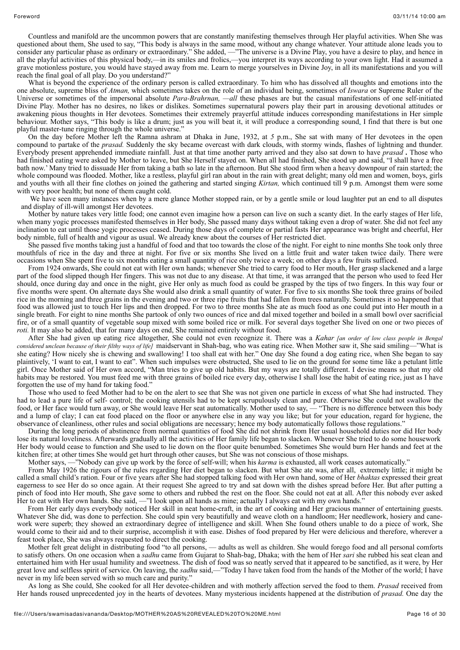Countless and manifold are the uncommon powers that are constantly manifesting themselves through Her playful activities. When She was questioned about them, She used to say, "This body is always in the same mood, without any change whatever. Your attitude alone leads you to consider any particular phase as ordinary or extraordinary." She added, —"The universe is a Divine Play, you have a desire to play, and hence in all the playful activities of this physical body,—in its smiles and frolics,—you interpret its ways according to your own light. Had it assumed a grave motionless posture, you would have stayed away from me. Learn to merge yourselves in Divine Joy, in all its manifestations and you will reach the final goal of all play. Do you understand?"

What is beyond the experience of the ordinary person is called extraordinary. To him who has dissolved all thoughts and emotions into the one absolute, supreme bliss of *Atman,* which sometimes takes on the role of an individual being, sometimes of *Iswara* or Supreme Ruler of the Universe or sometimes of the impersonal absolute *Para-Brahrnan, —all* these phases are but the casual manifestations of one self-initiated Divine Play. Mother has no desires, no likes or dislikes. Sometimes supernatural powers play their part in arousing devotional attitudes or awakening pious thoughts in Her devotees. Sometimes their extremely prayerful attitude induces corresponding manifestations in Her simple behaviour. Mother says, "This body is like a drum; just as you will beat it, it will produce a corresponding sound. I find that there is but one playful master-tune ringing through the whole universe."

On the day before Mother left the Ramna ashram at Dhaka in June, 1932, at *5* p.m., She sat with many of Her devotees in the open compound to partake of the *prasad.* Suddenly the sky became overcast with dark clouds, with stormy winds, flashes of lightning and thunder. Everybody present apprehended immediate rainfall. Just at that time another party arrived and they also sat down to have *prasad* **.** Those who had finished eating were asked by Mother to leave, but She Herself stayed on. When all had finished, She stood up and said, "I shall have a free bath now.' Many tried to dissuade Her from taking a bath so late in the afternoon. But She stood firm when a heavy downpour of rain started; the whole compound was flooded. Mother, like a restless, playful girl ran about in the rain with great delight; many old men and women, boys, girls and youths with all their fine clothes on joined the gathering and started singing *Kirtan,* which continued till 9 p.m. Amongst them were some with very poor health; but none of them caught cold.

We have seen many instances when by a mere glance Mother stopped rain, or by a gentle smile or loud laughter put an end to all disputes and display of ill-will amongst Her devotees.

Mother by nature takes very little food; one cannot even imagine how a person can live on such a scanty diet. In the early stages of Her life, when many yogic processes manifested themselves in Her body, She passed many days without taking even a drop of water. She did not feel any inclination to eat until those yogic processes ceased. During those days of complete or partial fasts Her appearance was bright and cheerful, Her body nimble, full of health and vigour as usual. We already knew about the courses of Her restricted diet.

She passed five months taking just a handful of food and that too towards the close of the night. For eight to nine months She took only three mouthfuls of rice in the day and three at night. For five or six months She lived on a little fruit and water taken twice daily. There were occasions when She spent five to six months eating a small quantity of rice only twice a week; on other days a few fruits sufficed.

From 1924 onwards, She could not eat with Her own hands; whenever She tried to carry food to Her mouth, Her grasp slackened and a large part of the food slipped though Her fingers. This was not due to any disease. At that time, it was arranged that the person who used to feed Her should, once during day and once in the night, give Her only as much food as could be grasped by the tips of two fingers. In this way four or five months were spent. On alternate days She would also drink a small quantity of water. For five to six months She took three grains of boiled rice in the morning and three grains in the evening and two or three ripe fruits that had fallen from trees naturally. Sometimes it so happened that food was allowed just to touch Her lips and then dropped. For two to three months She ate as much food as one could put into Her mouth in a single breath. For eight to nine months She partook of only two ounces of rice and dal mixed together and boiled in a small bowl over sacrificial fire, or of a small quantity of vegetable soup mixed with some boiled rice or milk. For several days together She lived on one or two pieces of *roti.* It may also be added, that for many days on end, She remained entirely without food.

After She had given up eating rice altogether, She could not even recognize it. There was a *Kahar [an order of low class people in Bengal considered unclean because of their filthy ways of life]* maidservant in Shah-bag, who was eating rice. When Mother saw it, She said smiling—"What is she eating? How nicely she is chewing and swallowing! I too shall eat with her." One day She found a dog eating rice, when She began to say plaintively, 'I want to eat, I want to eat". When such impulses were obstructed, She used to lie on the ground for some time like a petulant little girl. Once Mother said of Her own accord, "Man tries to give up old habits. But my ways are totally different. I devise means so that my old habits may be restored. You must feed me with three grains of boiled rice every day, otherwise I shall lose the habit of eating rice, just as I have forgotten the use of my hand for taking food."

Those who used to feed Mother had to be on the alert to see that She was not given one particle in excess of what She had instructed. They had to lead a pure life of self- control; the cooking utensils had to be kept scrupulously clean and pure. Otherwise She could not swallow the food, or Her face would turn away, or She would leave Her seat automatically. Mother used to say, — "There is no difference between this body and a lump of clay; I can eat food placed on the floor or anywhere else in any way you like; but for your education, regard for hygiene, the observance of cleanliness, other rules and social obligations are necessary; hence my body automatically follows those regulations."

During the long periods of abstinence from normal quantities of food She did not shrink from Her usual household duties nor did Her body lose its natural loveliness. Afterwards gradually all the activities of Her family life began to slacken. Whenever She tried to do some housework Her body would cease to function and She used to lie down on the floor quite benumbed. Sometimes She would burn Her hands and feet at the kitchen fire; at other times She would get hurt through other causes, but She was not conscious of those mishaps.

Mother says, —"Nobody can give up work by the force of self-will; when his *karma* is exhausted, all work ceases automatically."

From May 1926 the rigours of the rules regarding Her diet began to slacken. But what She ate was, after all, extremely little; it might be called a small child's ration. Four or five years after She had stopped talking food with Her own hand, some of Her *bhaktas* expressed their great eagerness to see Her do so once again. At their request She agreed to try and sat down with the dishes spread before Her. But after putting a pinch of food into Her mouth, She gave some to others and rubbed the rest on the floor. She could not eat at all. After this nobody ever asked Her to eat with Her own hands. She said, —"I look upon all hands as mine; actually I always eat with my own hands."

From Her early days everybody noticed Her skill in neat home-craft, in the art of cooking and Her gracious manner of entertaining guests. Whatever She did, was done to perfection. She could spin very beautifully and weave cloth on a handloom; Her needlework, hosiery and canework were superb; they showed an extraordinary degree of intelligence and skill. When She found others unable to do a piece of work, She would come to their aid and to their surprise, accomplish it with ease. Dishes of food prepared by Her were delicious and therefore, wherever a feast took place, She was always requested to direct the cooking.

Mother felt great delight in distributing food "to all persons, — adults as well as children. She would forego food and all personal comforts to satisfy others. On one occasion when a *sadhu* came from Gujarat to Shah-bag, Dhaka; with the hem of Her *sari* she rubbed his seat clean and entertained him with Her usual humility and sweetness. The dish of food was so neatly served that it appeared to be sanctified, as it were, by Her great love and selfless spirit of service. On leaving, the *sadhu* said,—"Today I have taken food from the hands of the Mother of the world; I have never in my life been served with so much care and purity."

As long as She could, She cooked for all Her devotee-children and with motherly affection served the food to them. *Prasad* received from Her hands roused unprecedented joy in the hearts of devotees. Many mysterious incidents happened at the distribution of *prasad.* One day the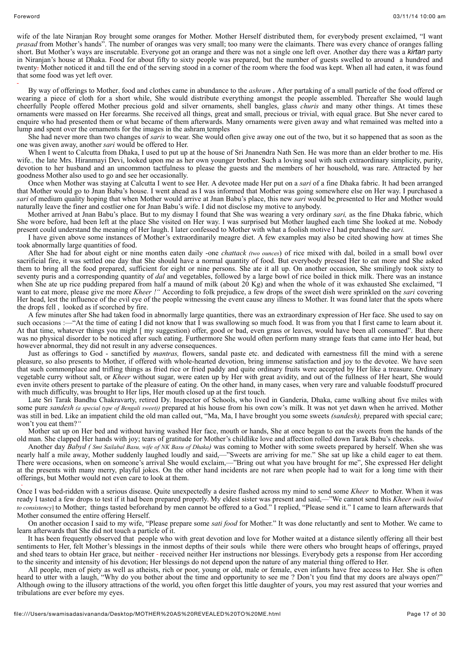wife of the late Niranjan Roy brought some oranges for Mother. Mother Herself distributed them, for everybody present exclaimed, "I want *prasad* from Mother's hands". The number of oranges was very small; too many were the claimants. There was every chance of oranges falling short. But Mother's ways are inscrutable. Everyone got an orange and there was not a single one left over. Another day there was a *kirtan* party in Niranjan's house at Dhaka. Food for about fifty to sixty people was prepared, but the number of guests swelled to around a hundred and twenty. Mother noticed it and till the end of the serving stood in a corner of the room where the food was kept. When all had eaten, it was found that some food was yet left over.

By way of offerings to Mother, food and clothes came in abundance to the *ashram* **.** After partaking of a small particle of the food offered or wearing a piece of cloth for a short while, She would distribute everything amongst the people assembled. Thereafter She would laugh cheerfully People offered Mother precious gold and silver ornaments, shell bangles, glass *churis* and many other things. At times these ornaments were massed on Her forearms. She received all things, great and small, precious or trivial, with equal grace. But She never cared to enquire who had presented them or what became of them afterwards. Many ornaments were given away and what remained was melted into a lump and spent over the ornaments for the images in the ashram temples

She had never more than two changes of *saris* to wear. She would often give away one out of the two, but it so happened that as soon as the one was given away, another *sari* would be offered to Her.

When I went to Calcutta from Dhaka, I used to put up at the house of Sri Jnanendra Nath Sen. He was more than an elder brother to me. His wife., the late Mrs. Hiranmayi Devi, looked upon me as her own younger brother. Such a loving soul with such extraordinary simplicity, purity, devotion to her husband and an uncommon tactfulness to please the guests and the members of her household, was rare. Attracted by her goodness Mother also used to go and see her occasionally.

Once when Mother was staying at Calcutta I went to see Her. A devotee made Her put on a *sari* of a fine Dhaka fabric. It had been arranged that Mother would go to Jnan Babu's house. I went ahead as I was informed that Mother was going somewhere else on Her way. I purchased a *sari* of medium quality hoping that when Mother would arrive at Jnan Babu's place, this new *sari* would be presented to Her and Mother would naturally leave the finer and costlier one for Jnan Babu's wife. I did not disclose my motive to anybody.

Mother arrived at Jnan Babu's place. But to my dismay I found that She was wearing a very ordinary *sari,* as the fine Dhaka fabric, which She wore before, had been left at the place She visited on Her way. I was surprised but Mother laughed each time She looked at me. Nobody present could understand the meaning of Her laugh. I later confessed to Mother with what a foolish motive I had purchased the *sari.*

I have given above some instances of Mother's extraordinarily meagre diet. A few examples may also be cited showing how at times She took abnormally large quantities of food.

After She had for about eight or nine months eaten daily -one *chattack (two ounces*) of rice mixed with dal, boiled in a small bowl over sacrificial fire, it was settled one day that She should have a normal quantity of food. But everybody pressed Her to eat more and She asked them to bring all the food prepared, sufficient for eight or nine persons. She ate it all up. On another occasion, She smilingly took sixty to seventy puris and a corresponding quantity of *dal* and vegetables, followed by a large bowl of rice boiled in thick milk. There was an instance when She ate up rice pudding prepared from half a maund of milk (about 20 Kg) and when the whole of it was exhausted She exclaimed, "I want to eat more, please give me more *Kheer !"* According to folk prejudice, a few drops of the sweet dish were sprinkled on the *sari* covering Her head, lest the influence of the evil eye of the people witnessing the event cause any illness to Mother. It was found later that the spots where the drops fell , looked as if scorched by fire.

A few minutes after She had taken food in abnormally large quantities, there was an extraordinary expression of Her face. She used to say on such occasions :—"At the time of eating I did not know that I was swallowing so much food. It was from you that I first came to learn about it. At that time, whatever things you might [ my suggestion) offer, good or bad, even grass or leaves, would have been all consumed". But there was no physical disorder to be noticed after such eating. Furthermore She would often perform many strange feats that came into Her head, but however abnormal, they did not result in any adverse consequences.

Just as offerings to God - sanctified by *mantras,* flowers, sandal paste etc. and dedicated with earnestness fill the mind with a serene pleasure, so also presents to Mother, if offered with whole-hearted devotion, bring immense satisfaction and joy to the devotee. We have seen that such commonplace and trifling things as fried rice or fried paddy and quite ordinary fruits were accepted by Her like a treasure. Ordinary vegetable curry without salt, or *Kheer* without sugar, were eaten up by Her with great avidity, and out of the fullness of Her heart, She would even invite others present to partake of the pleasure of eating. On the other hand, in many cases, when very rare and valuable foodstuff procured with much difficulty, was brought to Her lips, Her mouth closed up at the first touch.

Late Sri Tarak Bandhu Chakravarty, retired Dy. Inspector of Schools, who lived in Ganderia, Dhaka, came walking about five miles with some pure *sandesh (a special type of Bengali sweet))* prepared at his house from his own cow's milk. It was not yet dawn when he arrived. Mother was still in bed. Like an impatient child the old man called out, "Ma, Ma, I have brought you some sweets *(sandesh),* prepared with special care; won't you eat them?*"*

Mother sat up on Her bed and without having washed Her face, mouth or hands, She at once began to eat the sweets from the hands of the old man. She clapped Her hands with joy; tears of gratitude for Mother's childlike love and affection rolled down Tarak Babu's cheeks.

Another day *Babyd ( Smt Sailabal Basu, wife of NK Basu of Dhaka)* was coming to Mother with some sweets prepared by herself. When she was nearly half a mile away, Mother suddenly laughed loudly and said,—"Sweets are arriving for me." She sat up like a child eager to eat them. There were occasions, when on someone's arrival She would exclaim,—"Bring out what you have brought for me", She expressed Her delight at the presents with many merry, playful jokes. On the other hand incidents are not rare when people had to wait for a long time with their offerings, but Mother would not even care to look at them.

Once I was bed-ridden with a serious disease. Quite unexpectedly a desire flashed across my mind to send some *Kheer* to Mother. When it was ready I tasted a few drops to test if it had been prepared properly. My eldest sister was present and said,—"We cannot send this *Kheer (milk boiled to consistency*] to Mother; things tasted beforehand by men cannot be offered to a God." I replied, "Please send it." I came to learn afterwards that Mother consumed the entire offering Herself.

On another occasion I said to my wife, "Please prepare some *sati food* for Mother." It was done reluctantly and sent to Mother. We came to learn afterwards that She did not touch a particle of it.

It has been frequently observed that people who with great devotion and love for Mother waited at a distance silently offering all their best sentiments to Her, felt Mother's blessings in the inmost depths of their souls while there were others who brought heaps of offerings, prayed and shed tears to obtain Her grace, but neither received neither Her instructions nor blessings. Everybody gets a response from Her according to the sincerity and intensity of his devotion; Her blessings do not depend upon the nature of any material thing offered to Her.

All people, men of piety as well as atheists, rich or poor, young or old, male or female, even infants have free access to Her. She is often heard to utter with a laugh, "Why do you bother about the time and opportunity to see me ? Don't you find that my doors are always open?" Although owing to the illusory attractions of the world, you often forget this little daughter of yours, you may rest assured that your worries and tribulations are ever before my eyes.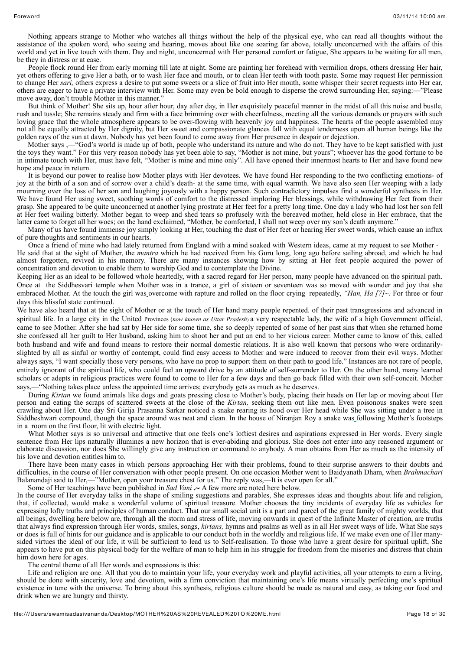Nothing appears strange to Mother who watches all things without the help of the physical eye, who can read all thoughts without the assistance of the spoken word, who seeing and hearing, moves about like one soaring far above, totally unconcerned with the affairs of this world and yet in live touch with them. Day and night, unconcerned with Her personal comfort or fatigue, She appears to be waiting for all men, be they in distress or at ease.

People flock round Her from early morning till late at night. Some are painting her forehead with vermilion drops, others dressing Her hair, yet others offering to give Her a bath, or to wash Her face and mouth, or to clean Her teeth with tooth paste. Some may request Her permission to change Her *sari,* others express a desire to put some sweets or a slice of fruit into Her mouth, some whisper their secret requests into Her ear, others are eager to have a private interview with Her. Some may even be bold enough to disperse the crowd surrounding Her, saying:—"Please move away, don't trouble Mother in this manner."

But think of Mother! She sits up, hour after hour, day after day, in Her exquisitely peaceful manner in the midst of all this noise and bustle, rush and tussle; She remains steady and firm with a face brimming over with cheerfulness, meeting all the various demands or prayers with such loving grace that the whole atmosphere appears to be over-flowing with heavenly joy and happiness. The hearts of the people assembled may not all be equally attracted by Her dignity, but Her sweet and compassionate glances fall with equal tenderness upon all human beings like the golden rays of the sun at dawn. Nobody has yet been found to come away from Her presence in despair or dejection.

Mother says ,—"God's world is made up of both, people who understand its nature and who do not. They have to be kept satisfied with just the toys they want." For this very reason nobody has yet been able to say, "Mother is not mine, but yours"; whoever has the good fortune to be in intimate touch with Her, must have felt, "Mother is mine and mine only". All have opened their innermost hearts to Her and have found new hope and peace in return.

It is beyond our power to realise how Mother plays with Her devotees. We have found Her responding to the two conflicting emotions- of joy at the birth of a son and of sorrow over a child's death- at the same time, with equal warmth. We have also seen Her weeping with a lady mourning over the loss of her son and laughing joyously with a happy person. Such contradictory impulses find a wonderful synthesis in Her. We have found Her using sweet, soothing words of comfort to the distressed imploring Her blessings, while withdrawing Her feet from their grasp. She appeared to be quite unconcerned at another lying prostrate at Her feet for a pretty long time. One day a lady who had lost her son fell at Her feet wailing bitterly. Mother began to weep and shed tears so profusely with the bereaved mother, held close in Her embrace, that the latter came to forget all her woes; on the hand exclaimed, "Mother, be comforted, I shall not weep over my son's death anymore."

Many of us have found immense joy simply looking at Her, touching the dust of Her feet or hearing Her sweet words, which cause an influx of pure thoughts and sentiments in our hearts.

Once a friend of mine who had lately returned from England with a mind soaked with Western ideas, came at my request to see Mother -

He said that at the sight of Mother, the *mantra* which he had received from his Guru long, long ago before sailing abroad, and which he had almost forgotten, revived in his memory. There are many instances showing how by sitting at Her feet people acquired the power of concentration and devotion to enable them to worship God and to contemplate the Divine.

Keeping Her as an ideal to be followed whole heartedly, with a sacred regard for Her person, many people have advanced on the spiritual path. Once at the Siddhesvari temple when Mother was in a trance, a girl of sixteen or seventeen was so moved with wonder and joy that she embraced Mother. At the touch the girl was overcome with rapture and rolled on the floor crying repeatedly, *"Han, Ha [7]~.* For three or four days this blissful state continued.

We have also heard that at the sight of Mother or at the touch of Her hand many people repented. of their past transgressions and advanced in spiritual life. In a large city in the United Provinces (*now known as Uttar Pradesh*) a very respectable lady, the wife of a high Government official, came to see Mother. After she had sat by Her side for some time, she so deeply repented of some of her past sins that when she returned home she confessed all her guilt to Her husband, asking him to shoot her and put an end to her vicious career. Mother came to know of this, called both husband and wife and found means to restore their normal domestic relations. It is also well known that persons who were ordinarilyslighted by all as sinful or worthy of contempt, could find easy access to Mother and were induced to recover from their evil ways. Mother always says, "I want specially those very persons, who have no prop to support them on their path to good life." Instances are not rare of people, entirely ignorant of the spiritual life, who could feel an upward drive by an attitude of self-surrender to Her. On the other hand, many learned scholars or adepts in religious practices were found to come to Her for a few days and then go back filled with their own self-conceit. Mother says,—"Nothing takes place unless the appointed time arrives; everybody gets as much as he deserves.

During *Kirtan* we found animals like dogs and goats pressing close to Mother's body, placing their heads on Her lap or moving about Her person and eating the scraps of scattered sweets at the close of the *Kirtan,* seeking them out like men. Even poisonous snakes were seen crawling about Her. One day Sri Girija Prasanna Sarkar noticed a snake rearing its hood over Her head while She was sitting under a tree in Siddheshwari compound, though the space around was neat and clean. In the house of Niranjan Roy a snake was following Mother's footsteps in a room on the first floor, lit with electric light.

What Mother says is so universal and attractive that one feels one's loftiest desires and aspirations expressed in Her words. Every single sentence from Her lips naturally illumines a new horizon that is ever-abiding and glorious. She does not enter into any reasoned argument or elaborate discussion, nor does She willingly give any instruction or command to anybody. A man obtains from Her as much as the intensity of his love and devotion entitles him to.

There have been many cases in which persons approaching Her with their problems, found to their surprise answers to their doubts and difficulties, in the course of Her conversation with other people present. On one occasion Mother went to Baidyanath Dham, when *Brahmachari* Balanandaji said to Her,—"Mother, open your treasure chest for us." The reply was,—It is ever open for all."

Some of Her teachings have been published in *Sad Vani .~* A few more are noted here below.

In the course of Her everyday talks in the shape of smiling suggestions and parables, She expresses ideas and thoughts about life and religion, that, if collected, would make a wonderful volume of spiritual treasure. Mother chooses the tiny incidents of everyday life as vehicles for expressing lofty truths and principles of human conduct. That our small social unit is a part and parcel of the great family of mighty worlds, that all beings, dwelling here below are, through all the storm and stress of life, moving onwards in quest of the Infinite Master of creation, are truths that always find expression through Her words, smiles, songs, *kirtans,* hymns and psalms as well as in all Her sweet ways of life. What She says or does is full of hints for our guidance and is applicable to our conduct both in the worldly and religious life. If we make even one of Her manysided virtues the ideal of our life, it will be sufficient to lead us to Self-realisation. To those who have a great desire for spiritual uplift, She appears to have put on this physical body for the welfare of man to help him in his struggle for freedom from the miseries and distress that chain him down here for ages.

The central theme of all Her words and expressions is this:

Life and religion are one. All that you do to maintain your life, your everyday work and playful activities, all your attempts to earn a living, should be done with sincerity, love and devotion, with a firm conviction that maintaining one's life means virtually perfecting one's spiritual existence in tune with the universe. To bring about this synthesis, religious culture should be made as natural and easy, as taking our food and drink when we are hungry and thirsty.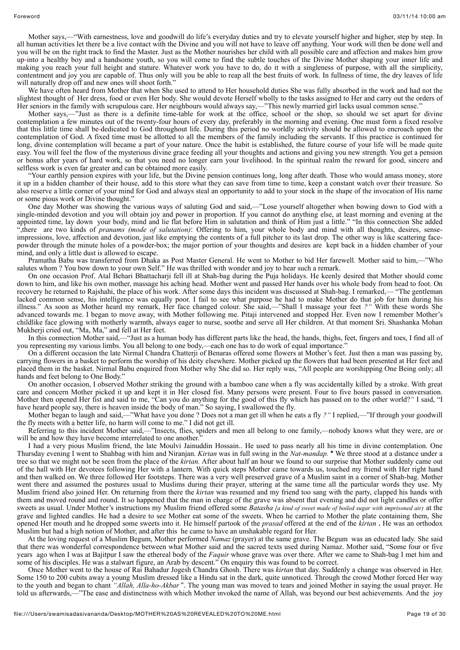Mother says,—"With earnestness, love and goodwill do life's everyday duties and try to elevate yourself higher and higher, step by step. In all human activities let there be a live contact with the Divine and you will not have to leave off anything. Your work will then be done well and you will be on the right track to find the Master. Just as the Mother nourishes her child with all possible care and affection and makes him grow up into a healthy boy and a handsome youth, so you will come to find the subtle touches of the Divine Mother shaping your inner life and making you reach your full height and stature. Whatever work you have to do, do it with a singleness of purpose, with all the simplicity, contentment and joy you are capable of. Thus only will you be able to reap all the best fruits of work. In fullness of time, the dry leaves of life will naturally drop off and new ones will shoot forth.'

We have often heard from Mother that when She used to attend to Her household duties She was fully absorbed in the work and had not the slightest thought of Her dress, food or even Her body. She would devote Herself wholly to the tasks assigned to Her and carry out the orders of Her seniors in the family with scrupulous care. Her neighbours would always say,—"This newly married girl lacks usual common sense.''

Mother says,—"Just as there is a definite time-table for work at the office, school or the shop, so should we set apart for divine contemplation a few minutes out of the twenty-four hours of every day, preferably in the morning and evening. One must form a fixed resolve that this little time shall be dedicated to God throughout life. During this period no worldly activity should be allowed to encroach upon the contemplation of God. A fixed time must be allotted to all the members of the family including the servants. If this practice is continued for long, divine contemplation will became a part of your nature. Once the habit is established, the future course of your life will be made quite easy. You will feel the flow of the mysterious divine grace feeding all your thoughts and actions and giving you new strength. You get a pension or bonus after years of hard work, so that you need no longer earn your livelihood. In the spiritual realm the reward for good, sincere and selfless work is even far greater and can be obtained more easily.

"Your earthly pension expires with your life, but the Divine pension continues long, long after death. Those who would amass money, store it up in a hidden chamber of their house, add to this store what they can save from time to time, keep a constant watch over their treasure. So also reserve a little corner of your mind for God and always steal an opportunity to add to your stock in the shape of the invocation of His name or some pious work or Divine thought."

One day Mother was showing the various ways of saluting God and said,—"Lose yourself altogether when bowing down to God with a single-minded devotion and you will obtain joy and power in proportion. If you cannot do anything else, at least morning and evening at the appointed time, lay down your body, mind and lie flat before Him in salutation and think of Him just a little." "In this connection She added ",there are two kinds of *pranams (mode of salutation)*: Offering to him, your whole body and mind with all thoughts, desires, senseimpressions, love, affection and devotion, just like emptying the contents of a full pitcher to its last drop. The other way is like scattering facepowder through the minute holes of a powder-box; the major portion of your thoughts and desires are kept back in a hidden chamber of your mind, and only a little dust is allowed to escape.

Pramatha Babu was transferred from Dhaka as Post Master General. He went to Mother to bid Her farewell. Mother said to him,—"Who salutes whom ? You bow down to your own Self." He was thrilled with wonder and joy to hear such a remark.

On one occasion Prof. Atal Behari Bhattacharji fell ill at Shah-bag during the Puja holidays. He keenly desired that Mother should come down to him, and like his own mother, massage his aching head. Mother went and passed Her hands over his whole body from head to foot. On recovery he returned to Rajshahi, the place of his work. After some days this incident was discussed at Shah-bag. I remarked,— "The gentleman lacked common sense, his intelligence was equally poor. I fail to see what purpose he had to make Mother do that job for him during his illness." As soon as Mother heard my remark, Her face changed colour. She said,—"Shall I massage your feet *?"* With these words She advanced towards me. I began to move away, with Mother following me. Pitaji intervened and stopped Her. Even now I remember Mother's childlike face glowing with motherly warmth, always eager to nurse, soothe and serve all Her children. At that moment Sri. Shashanka Mohan Mukherji cried out, "Ma, Ma," and fell at Her feet.

In this connection Mother said,—"Just as a human body has different parts like the head, the hands, thighs, feet, fingers and toes, I find all of you representing my various limbs. You all belong to one body,—each one has to do work of equal importance."

On a different occasion the late Nirmal Chandra Chatterji of Benaras offered some flowers at Mother's feet. Just then a man was passing by, carrying flowers in a basket to perform the worship of his deity elsewhere. Mother picked up the flowers that had been presented at Her feet and placed them in the basket. Nirmal Babu enquired from Mother why She did so. Her reply was, "All people are worshipping One Being only; all hands and feet belong to One Body.'

On another occasion, I observed Mother striking the ground with a bamboo cane when a fly was accidentally killed by a stroke. With great care and concern Mother picked it up and kept it in Her closed fist. Many persons were present. Four to five hours passed in conversation. Mother then opened Her fist and said to me, "Can you do anything for the good of this fly which has passed on to the other world?*"* I said, "I have heard people say, there is heaven inside the body of man." So saying, I swallowed the fly.

Mother began to laugh and said,—"What have you done ? Does not a man get ill when he eats a fly *?"* I replied,—"If through your goodwill the fly meets with a better life, no harm will come to me." I did not get ill.

Referring to this incident Mother said,—"Insects, flies, spiders and men all belong to one family,—nobody knows what they were, are or will be and how they have become interrelated to one another.<sup>3</sup>

I had a very pious Muslim friend, the late Moulvi Jainuddin Hossain.. He used to pass nearly all his time in divine contemplation. One Thursday evening I went to Shahbag with him and Niranjan. *Kirtan* was in full swing in the *Nat-mandap.* **\*** We three stood at a distance under a tree so that we might not be seen from the place of the *kirtan.* After about half an hour we found to our surprise that Mother suddenly came out of the hall with Her devotees following Her with a lantern. With quick steps Mother came towards us, touched my friend with Her right hand and then walked on. We three followed Her footsteps. There was a very well preserved grave of a Muslim saint in a corner of Shah-bag. Mother went there and assumed the postures usual to Muslims during their prayer, uttering at the same time all the particular words they use. My Muslim friend also joined Her. On returning from there the *kirtan* was resumed and my friend too sang with the party, clapped his hands with them and moved round and round. It so happened that the man in charge of the grave was absent that evening and did not light candles or offer sweets as usual. Under Mother's instructions my Muslim friend offered some *Batasha [a kind of sweet made of boiled sugar with imprisoned air)* at the grave and lighted candles. He had a desire to see Mother eat some of the sweets. When he carried to Mother the plate containing them, She opened Her mouth and he dropped some sweets into it. He himself partook of the *prasad* offered at the end of the *kirtan .* He was an orthodox Muslim but had a high notion of Mother, and after this he came to have an unshakable regard for Her.

At the loving request of a Muslim Begum, Mother performed *Namaz* (prayer) at the same grave. The Begum was an educated lady. She said that there was wonderful correspondence between what Mother said and the sacred texts used during Namaz. Mother said, "Some four or five years ago when I was at Bajitpur I saw the ethereal body of the *Faquir* whose grave was over there. After we came to Shah-bag I met him and some of his disciples. He was a stalwart figure, an Arab by descent." On enquiry this was found to be correct.

Once Mother went to the house of Rai Bahadur Jogesh Chandra Ghosh. There was *kirtan* that day. Suddenly a change was observed in Her. Some 150 to 200 cubits away a young Muslim dressed like a Hindu sat in the dark, quite unnoticed. Through the crowd Mother forced Her way to the youth and began to chant *"Allah, Alla-ho-Akbar* ". The young man was moved to tears and joined Mother in saying the usual prayer. He told us afterwards,—"The ease and distinctness with which Mother invoked the name of Allah, was beyond our best achievements. And the joy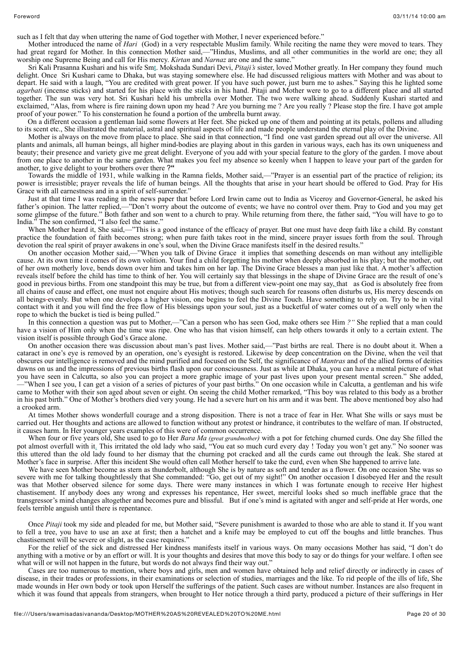such as I felt that day when uttering the name of God together with Mother, I never experienced before."

Mother introduced the name of *Hari* (God) in a very respectable Muslim family. While reciting the name they were moved to tears. They had great regard for Mother. In this connection Mother said,—"Hindus, Muslims, and all other communities in the world are one; they all worship one Supreme Being and call for His mercy. *Kirtan* and *Narnaz* are one and the same."

Sri Kali Prasanna Kushari and his wife Smt. Mokshada Sundari Devi, *Pitaji's* sister, loved Mother greatly. In Her company they found much delight. Once Sri Kushari came to Dhaka, but was staying somewhere else. He had discussed religious matters with Mother and was about to depart. He said with a laugh, "You are credited with great power. If you have such power, just burn me to ashes." Saying this he lighted some *agarbati* (incense sticks) and started for his place with the sticks in his hand. Pitaji and Mother were to go to a different place and all started together. The sun was very hot. Sri Kushari held his umbrella over Mother. The two were walking ahead. Suddenly Kushari started and exclaimed, "Alas, from where is fire raining down upon my head ? Are you burning me ? Are you really ? Please stop the fire. I have got ample proof of your power." To his consternation he found a portion of the umbrella burnt away.

On a different occasion a gentleman laid some flowers at Her feet. She picked up one of them and pointing at its petals, pollens and alluding to its scent etc., She illustrated the material, astral and spiritual aspects of life and made people understand the eternal play of the Divine.

Mother is always on the move from place to place. She said in that connection, "I find one vast garden spread out all over the universe. All plants and animals, all human beings, all higher mind-bodies are playing about in this garden in various ways, each has its own uniqueness and beauty; their presence and variety give me great delight. Everyone of you add with your special feature to the glory of the garden. I move about from one place to another in the same garden. What makes you feel my absence so keenly when I happen to leave your part of the garden for another, to give delight to your brothers over there ?**"**

Towards the middle of 1931, while walking in the Ramna fields, Mother said,—"Prayer is an essential part of the practice of religion; its power is irresistible; prayer reveals the life of human beings. All the thoughts that arise in your heart should be offered to God. Pray for His Grace with all earnestness and in a spirit of self-surrender."

Just at that time I was reading in the news paper that before Lord Irwin came out to India as Viceroy and Governor-General, he asked his father's opinion. The latter replied,—"Don't worry about the outcome of events; we have no control over them. Pray to God and you may get some glimpse of the future." Both father and son went to a church to pray. While returning from there, the father said, "You will have to go to India." The son confirmed, "I also feel the same."

When Mother heard it, She said,—"This is a good instance of the efficacy of prayer. But one must have deep faith like a child. By constant practice the foundation of faith becomes strong; when pure faith takes root in the mind, sincere prayer issues forth from the soul. Through devotion the real spirit of prayer awakens in one's soul, when the Divine Grace manifests itself in the desired results."

On another occasion Mother said,—"When you talk of Divine Grace it implies that something descends on man without any intelligible cause. At its own time it comes of its own volition. Your find a child forgetting his mother when deeply absorbed in his play; but the mother, out of her own motherly love, bends down over him and takes him on her lap. The Divine Grace blesses a man just like that. A mother's affection reveals itself before the child has time to think of her. You will certainly say that blessings in the shape of Divine Grace are the result of one's good in previous births. From one standpoint this may be true, but from a different view-point one may say, that as God is absolutely free from all chains of cause and effect, one must not enquire about His motives; though such search for reasons often disturbs us, His mercy descends on all beings evenly. But when one develops a higher vision, one begins to feel the Divine Touch. Have something to rely on. Try to be in vital contact with it and you will find the free flow of His blessings upon your soul, just as a bucketful of water comes out of a well only when the rope to which the bucket is tied is being pulled."

In this connection a question was put to Mother,—"Can a person who has seen God, make others see Him *?"* She replied that a man could have a vision of Him only when the time was ripe. One who has that vision himself, can help others towards it only to a certain extent. The vision itself is possible through God's Grace alone.

On another occasion there was discussion about man's past lives. Mother said,—"Past births are real. There is no doubt about it. When a cataract in one's eye is removed by an operation, one's eyesight is restored. Likewise by deep concentration on the Divine, when the veil that obscures our intelligence is removed and the mind purified and focused on the Self, the significance of *Mantras* and of the allied forms of deities dawns on us and the impressions of previous births flash upon our consciousness. Just as while at Dhaka, you can have a mental picture of what you have seen in Calcutta, so also you can project a more graphic image of your past lives upon your present mental screen." She added, —"When I see you, I can get a vision of a series of pictures of your past births." On one occasion while in Calcutta, a gentleman and his wife came to Mother with their son aged about seven or eight. On seeing the child Mother remarked, "This boy was related to this body as a brother in his past birth." One of Mother's brothers died very young. He had a severe hurt on his arm and it was bent. The above mentioned boy also had a crooked arm.

At times Mother shows wonderfull courage and a strong disposition. There is not a trace of fear in Her. What She wills or says must be carried out. Her thoughts and actions are allowed to function without any protest or hindrance, it contributes to the welfare of man. If obstructed, it causes harm. In Her younger years examples of this were of common occurrence.

When four or five years old, She used to go to Her *Bara Ma (great grandmother)* with a pot for fetching churned curds. One day She filled the pot almost overfull with it. This irritated the old lady who said, "You eat so much curd every day ! Today you won't get any." No sooner was this uttered than the old lady found to her dismay that the churning pot cracked and all the curds came out through the leak. She stared at Mother's face in surprise. After this incident She would often call Mother herself to take the curd, even when She happened to arrive late.

We have seen Mother become as stern as thunderbolt, although She is by nature as soft and tender as a flower. On one occasion She was so severe with me for talking thoughtlessly that She commanded: "Go, get out of my sight!" On another occasion I disobeyed Her and the result was that Mother observed silence for some days. There were many instances in which I was fortunate enough to receive Her highest chastisement. If anybody does any wrong and expresses his repentance, Her sweet, merciful looks shed so much ineffable grace that the transgressor's mind changes altogether and becomes pure and blissful. But if one's mind is agitated with anger and self-pride at Her words, one feels terrible anguish until there is repentance.

Once *Pitaji* took my side and pleaded for me, but Mother said, "Severe punishment is awarded to those who are able to stand it. If you want to fell a tree, you have to use an axe at first; then a hatchet and a knife may be employed to cut off the boughs and little branches. Thus chastisement will be severe or slight, as the case requires."

For the relief of the sick and distressed Her kindness manifests itself in various ways. On many occasions Mother has said, "I don't do anything with a motive or by an effort or will. It is your thoughts and desires that move this body to say or do things for your welfare. I often see what will or will not happen in the future, but words do not always find their way out."

Cases are too numerous to mention, where boys and girls, men and women have obtained help and relief directly or indirectly in cases of disease, in their trades or professions, in their examinations or selection of studies, marriages and the like. To rid people of the ills of life, She made wounds in Her own body or took upon Herself the sufferings of the patient. Such cases are without number. Instances are also frequent in which it was found that appeals from strangers, when brought to Her notice through a third party, produced a picture of their sufferings in Her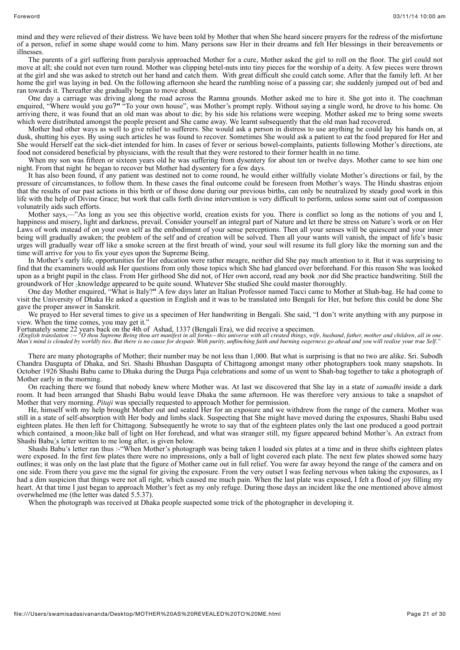mind and they were relieved of their distress. We have been told by Mother that when She heard sincere prayers for the redress of the misfortune of a person, relief in some shape would come to him. Many persons saw Her in their dreams and felt Her blessings in their bereavements or illnesses.

The parents of a girl suffering from paralysis approached Mother for a cure, Mother asked the girl to roll on the floor. The girl could not move at all; she could not even turn round. Mother was clipping betel-nuts into tiny pieces for the worship of a deity. A few pieces were thrown at the girl and she was asked to stretch out her hand and catch them. With great difficult she could catch some. After that the family left. At her home the girl was laying in bed. On the following afternoon she heard the rumbling noise of a passing car; she suddenly jumped out of bed and ran towards it. Thereafter she gradually began to move about.

One day a carriage was driving along the road across the Ramna grounds. Mother asked me to hire it. She got into it. The coachman enquired, "Where would you go?**"** "To your own house", was Mother's prompt reply. Without saying a single word, he drove to his home. On arriving there, it was found that an old man was about to die; by his side his relations were weeping. Mother asked me to bring some sweets which were distributed amongst the people present and She came away. We learnt subsequently that the old man had recovered.

Mother had other ways as well to give relief to sufferers. She would ask a person in distress to use anything he could lay his hands on, at dusk, shutting his eyes. By using such articles he was found to recover. Sometimes She would ask a patient to eat the food prepared for Her and She would Herself eat the sick-diet intended for him. In cases of fever or serious bowel-complaints, patients following Mother's directions, ate food not considered beneficial by physicians, with the result that they were restored to their former health in no time.

When my son was fifteen or sixteen years old he was suffering from dysentery for about ten or twelve days. Mother came to see him one night. From that night he began to recover but Mother had dysentery for a few days.

It has also been found, if any patient was destined not to come round, he would either willfully violate Mother's directions or fail, by the pressure of circumstances, to follow them. In these cases the final outcome could be foreseen from Mother's ways. The Hindu shastras enjoin that the results of our past actions in this birth or of those done during our previous births, can only be neutralized by steady good work in this life with the help of Divine Grace; but work that calls forth divine intervention is very difficult to perform, unless some saint out of compassion volunatrily aids such efforts.

Mother says,—"As long as you see this objective world, creation exists for you. There is conflict so long as the notions of you and I, happiness and misery, light and darkness, prevail. Consider yourself an integral part of Nature and let there be stress on Nature's work or on Her Laws of work instead of on your own self as the embodiment of your sense perceptions. Then all your senses will be quiescent and your inner being will gradually awaken; the problem of the self and of creation will be solved. Then all your wants will vanish, the impact of life's basic urges will gradually wear off like a smoke screen at the first breath of wind, your soul will resume its full glory like the morning sun and the time will arrive for you to fix your eyes upon the Supreme Being.

In Mother's early life, opportunities for Her education were rather meagre, neither did She pay much attention to it. But it was surprising to find that the examiners would ask Her questions from only those topics which She had glanced over beforehand. For this reason She was looked upon as a bright pupil in the class. From Her girlhood She did not, of Her own accord, read any book ;nor did She practice handwriting. Still the groundwork of Her -knowledge appeared to be quite sound. Whatever She studied She could master thoroughly.

One day Mother enquired, "What is Italy?**"** A few days later an Italian Professor named Tucci came to Mother at Shah-bag. He had come to visit the University of Dhaka He asked a question in English and it was to be translated into Bengali for Her, but before this could be done She gave the proper answer in Sanskrit.

We prayed to Her several times to give us a specimen of Her handwriting in Bengali. She said, "I don't write anything with any purpose in view. When the time comes, you may get it."

Fortunately some 22 years back on the 4th of Ashad, 1337 (Bengali Era), we did receive a specimen.<br>(English translation :— "O thou Supreme Being thou art manifest in all forms—this universe with all created things, wife, h

There are many photographs of Mother; their number may be not less than 1,000. But what is surprising is that no two are alike. Sri. Subodh Chandra Dasgupta of Dhaka, and Sri. Shashi Bhushan Dasgupta of Chittagong amongst many other photographers took many snapshots. In October 1926 Shashi Babu came to Dhaka during the Durga Puja celebrations and some of us went to Shah-bag together to take a photograph of Mother early in the morning.

On reaching there we found that nobody knew where Mother was. At last we discovered that She lay in a state of *samadhi* inside a dark room. It had been arranged that Shashi Babu would leave Dhaka the same afternoon. He was therefore very anxious to take a snapshot of Mother that very morning. *Pitaji* was specially requested to approach Mother for permission.

He, himself with my help brought Mother out and seated Her for an exposure and we withdrew from the range of the camera. Mother was still in a state of self-absorption with Her body and limbs slack. Suspecting that She might have moved during the exposures, Shashi Babu used eighteen plates. He then left for Chittagong. Subsequently he wrote to say that of the eighteen plates only the last one produced a good portrait which contained a moon-like ball of light on Her forehead, and what was stranger still, my figure appeared behind Mother's. An extract from Shashi Babu's letter written to me long after, is given below.

Shashi Babu's letter ran thus :-"When Mother's photograph was being taken I loaded six plates at a time and in three shifts eighteen plates were exposed. In the first few plates there were no impressions, only a ball of light covered each plate. The next few plates showed some hazy outlines; it was only on the last plate that the figure of Mother came out in full relief. You were far away beyond the range of the camera and on one side. From there you gave me the signal for giving the exposure. From the very outset I was feeling nervous when taking the exposures, as I had a dim suspicion that things were not all right, which caused me much pain. When the last plate was exposed, I felt a flood of joy filling my heart. At that time I just began to approach Mother's feet as my only refuge. During those days an incident like the one mentioned above almost overwhelmed me (the letter was dated 5.5.37).

When the photograph was received at Dhaka people suspected some trick of the photographer in developing it.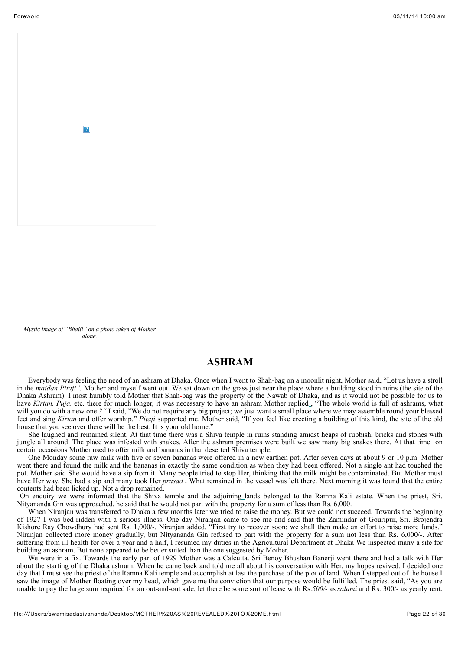

*Mystic image of "Bhaiji" on a photo taken of Mother alone.*

# **ASHRAM**

Everybody was feeling the need of an ashram at Dhaka. Once when I went to Shah-bag on a moonlit night, Mother said, "Let us have a stroll in the *maidan Pitaji",* Mother and myself went out. We sat down on the grass just near the place where a building stood in ruins (the site of the Dhaka Ashram). I most humbly told Mother that Shah-bag was the property of the Nawab of Dhaka, and as it would not be possible for us to have *Kirtan, Puja,* etc. there for much longer, it was necessary to have an ashram Mother replied., "The whole world is full of ashrams, what will you do with a new one *?"* I said, "We do not require any big project; we just want a small place where we may assemble round your blessed feet and sing *Kirtan* and offer worship." *Pitaji* supported me. Mother said, "If you feel like erecting a building of this kind, the site of the old house that you see over there will be the best. It is your old home."

She laughed and remained silent. At that time there was a Shiva temple in ruins standing amidst heaps of rubbish, bricks and stones with jungle all around. The place was infested with snakes. After the ashram premises were built we saw many big snakes there. At that time on certain occasions Mother used to offer milk and bananas in that deserted Shiva temple.

One Monday some raw milk with five or seven bananas were offered in a new earthen pot. After seven days at about 9 or 10 p.m. Mother went there and found the milk and the bananas in exactly the same condition as when they had been offered. Not a single ant had touched the pot. Mother said She would have a sip from it. Many people tried to stop Her, thinking that the milk might be contaminated. But Mother must have Her way. She had a sip and many took Her *prasad* **.** What remained in the vessel was left there. Next morning it was found that the entire contents had been licked up. Not a drop remained.

On enquiry we were informed that the Shiva temple and the adjoining lands belonged to the Ramna Kali estate. When the priest, Sri. Nityananda Gin was approached, he said that he would not part with the property for a sum of less than Rs. 6,000.

When Niranjan was transferred to Dhaka a few months later we tried to raise the money. But we could not succeed. Towards the beginning of 1927 I was bed-ridden with a serious illness. One day Niranjan came to see me and said that the Zamindar of Gouripur, Sri. Brojendra Kishore Ray Chowdhury had sent Rs. 1,000/-. Niranjan added, "First try to recover soon; we shall then make an effort to raise more funds." Niranjan collected more money gradually, but Nityananda Gin refused to part with the property for a sum not less than Rs. 6,000/-. After suffering from ill-health for over a year and a half, I resumed my duties in the Agricultural Department at Dhaka We inspected many a site for building an ashram. But none appeared to be better suited than the one suggested by Mother.

We were in a fix. Towards the early part of 1929 Mother was a Calcutta. Sri Benoy Bhushan Banerji went there and had a talk with Her about the starting of the Dhaka ashram. When he came back and told me all about his conversation with Her, my hopes revived. I decided one day that I must see the priest of the Ramna Kali temple and accomplish at last the purchase of the plot of land. When I stepped out of the house I saw the image of Mother floating over my head, which gave me the conviction that our purpose would be fulfilled. The priest said, "As you are unable to pay the large sum required for an out-and-out sale, let there be some sort of lease with Rs.*500/-* as *salami* and Rs. 300/- as yearly rent.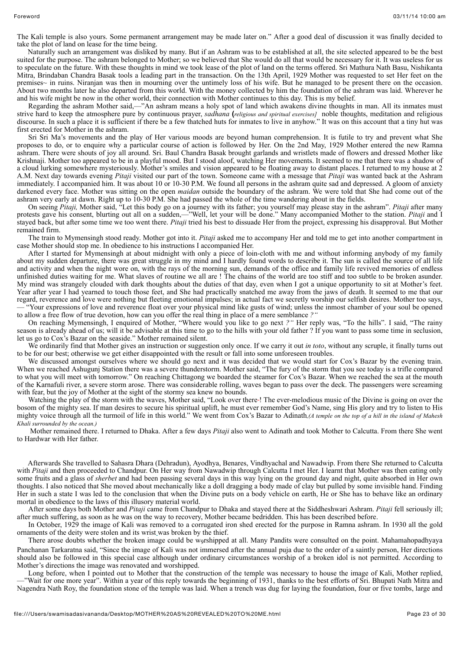The Kali temple is also yours. Some permanent arrangement may be made later on." After a good deal of discussion it was finally decided to take the plot of land on lease for the time being.

Naturally such an arrangement was disliked by many. But if an Ashram was to be established at all, the site selected appeared to be the best suited for the purpose. The ashram belonged to Mother; so we believed that She would do all that would be necessary for it. It was useless for us to speculate on the future. With these thoughts in mind we took lease of the plot of land on the terms offered. Sri Mathura Nath Basu, Nishikanta Mitra, Brindaban Chandra Basak tools a leading part in the transaction. On the 13th April, 1929 Mother was requested to set Her feet on the premises~ in ruins. Niranjan was then in mourning over the untimely loss of his wife. But he managed to be present there on the occasion. About two months later he also departed from this world. With the money collected by him the foundation of the ashram was laid. Wherever he and his wife might be now in the other world, their connection with Mother continues to this day. This is my belief.

Regarding the ashram Mother said,—"An ashram means a holy spot of land which awakens divine thoughts in man. All its inmates must strive hard to keep the atmosphere pure by continuous prayer, *sadhana* **(***religious and spiritual exercises]*noble thoughts, meditation and religious discourse. In such a place it is sufficient if there be a few thatched huts for inmates to live in anyhow." It was on this account that a tiny hut was first erected for Mother in the ashram.

Sri Sri Ma's movements and the play of Her various moods are beyond human comprehension. It is futile to try and prevent what She proposes to do, or to enquire why a particular course of action is followed by Her. On the 2nd May, 1929 Mother entered the new Ramna ashram. There were shouts of joy all around. Sri. Baul Chandra Basak brought garlands and wristlets made of flowers and dressed Mother like Krishnaji. Mother too appeared to be in a playful mood. But I stood aloof, watching Her movements. It seemed to me that there was a shadow of a cloud lurking somewhere mysteriously. Mother's smiles and vision appeared to be floating away to distant places. I returned to my house at 2 A.M. Next day towards evening *Pitaji* visited our part of the town. Someone came with a message that *Pitaji* was wanted back at the Ashram immediately. I accompanied him. It was about 10 or 10-30 P.M. We found all persons in the ashram quite sad and depressed. A gloom of anxiety darkened every face. Mother was sitting on the open *maidan* outside the boundary of the ashram. We were told that She had come out of the ashram very early at dawn. Right up to 10-30 P.M. She had passed the whole of the time wandering about in the fields.

On seeing *Pitaji,* Mother said, "Let this body go on a journey with its father; you yourself may please stay in the ashram". *Pitaji* after many protests gave his consent, blurting out all on a sudden,—"Well, let your will be done." Many accompanied Mother to the station. *Pitaji* and I stayed back, but after some time we too went there. *Pitaji* tried his best to dissuade Her from the project, expressing his disapproval. But Mother remained firm.

The train to Mymensingh stood ready. Mother got into it. *Pitaji* asked me to accompany Her and told me to get into another compartment in case Mother should stop me. In obedience to his instructions I accompanied Her.

After I started for Mymensingh at about midnight with only a piece of loin-cloth with me and without informing anybody of my family about my sudden departure, there was great struggle in my mind and I hardly found words to describe it. The sun is called the source of all life and activity and when the night wore on, with the rays of the morning sun, demands of the office and family life revived memories of endless unfinished duties waiting for me. What slaves of routine we all are ! The chains of the world are too stiff and too subtle to be broken asunder. My mind was strangely clouded with dark thoughts about the duties of that day, even when I got a unique opportunity to sit at Mother's feet. Year after year I had yearned to touch those feet, and She had practically snatched me away from the jaws of death. It seemed to me that our regard, reverence and love were nothing but fleeting emotional impulses; in actual fact we secretly worship our selfish desires. Mother too says, — "Your expressions of love and reverence float over your physical mind like gusts of wind; unless the inmost chamber of your soul be opened to allow a free flow of true devotion, how can you offer the real thing in place of a mere semblance *?"*

On reaching Mymensingh, I enquired of Mother, "Where would you like to go next *?"* Her reply was, "To the hills". I said, "The rainy season is already ahead of us; will it be advisable at this time to go to the hills with your old father ? If you want to pass some time in seclusion, let us go to Cox's Bazar on the seaside." Mother remained silent.

We ordinarily find that Mother gives an instruction or suggestion only once. If we carry it out *in toto*, without any scruple, it finally turns out to be for our best; otherwise we get either disappointed with the result or fall into some unforeseen troubles.

We discussed amongst ourselves where we should go next and it was decided that we would start for Cox's Bazar by the evening train. When we reached Ashugunj Station there was a severe thunderstorm. Mother said, "The fury of the storm that you see today is a trifle compared to what you will meet with tomorrow." On reaching Chittagong we boarded the steamer for Cox's Bazar. When we reached the sea at the mouth of the Karnafuli river, a severe storm arose. There was considerable rolling, waves began to pass over the deck. The passengers were screaming with fear, but the joy of Mother at the sight of the stormy sea knew no bounds.

Watching the play of the storm with the waves, Mother said, "Look over there-! The ever-melodious music of the Divine is going on over the bosom of the mighty sea. If man desires to secure his spiritual uplift, he must ever remember God's Name, sing His glory and try to listen to His mighty voice through all the turmoil of life in this world." We went from Cox's Bazar to Adinath*,(A temple on the top of a hill in the island of Mahesh Khali surrounded by the ocean.)*

Mother remained there. I returned to Dhaka. After a few days *Pitaji* also went to Adinath and took Mother to Calcutta. From there She went to Hardwar with Her father.

Afterwards She travelled to Sahasra Dhara (Dehradun), Ayodhya, Benares, Vindhyachal and Nawadwip. From there She returned to Calcutta with *Pitaji* and then proceeded to Chandpur. On Her way from Nawadwip through Calcutta I met Her. I learnt that Mother was then eating only some fruits and a glass of *sherbet* and had been passing several days in this way lying on the ground day and night, quite absorbed in Her own thoughts. I also noticed that She moved about mechanically like a doll dragging a body made of clay but pulled by some invisible hand. Finding Her in such a state I was led to the conclusion that when the Divine puts on a body vehicle on earth, He or She has to behave like an ordinary mortal in obedience to the laws of this illusory material world.

After some days both Mother and *Pitaji* came from Chandpur to Dhaka and stayed there at the Siddheshwari Ashram. *Pitaji* fell seriously ill; after much suffering, as soon as he was on the way to recovery, Mother became bedridden. This has been described before.

In October, 1929 the image of Kali was removed to a corrugated iron shed erected for the purpose in Ramna ashram. In 1930 all the gold ornaments of the deity were stolen and its wrist was broken by the thief.

There arose doubts whether the broken image could be w9rshipped at all. Many Pandits were consulted on the point. Mahamahopadhyaya Panchanan Tarkaratna said, "Since the image of Kali was not immersed after the annual puja due to the order of a saintly person, Her directions should also be followed in this special case although under ordinary circumstances worship of a broken idol is not permitted. According to Mother's directions the image was renovated and worshipped.

Long before, when I pointed out to Mother that the construction of the temple was necessary to house the image of Kali, Mother replied, —"Wait for one more year". Within a year of this reply towards the beginning of 1931, thanks to the best efforts of Sri. Bhupati Nath Mitra and Nagendra Nath Roy, the foundation stone of the temple was laid. When a trench was dug for laying the foundation, four or five tombs, large and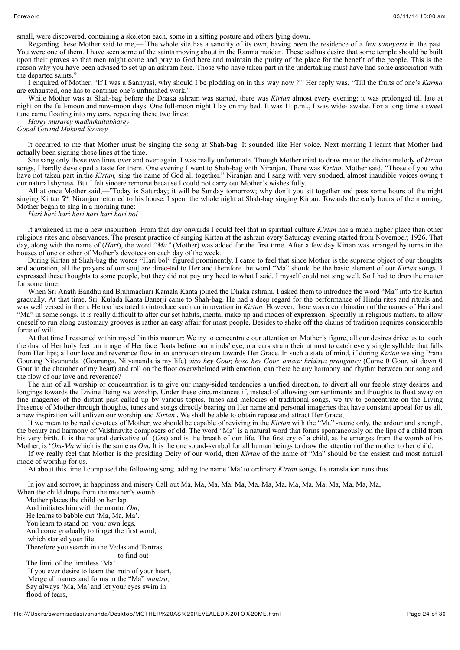small, were discovered, containing a skeleton each, some in a sitting posture and others lying down.

Regarding these Mother said to me,—"The whole site has a sanctity of its own, having been the residence of a few *sannyasis* in the past. You were one of them. I have seen some of the saints moving about in the Ramna maidan. These sadhus desire that some temple should be built upon their graves so that men might come and pray to God here and maintain the purity of the place for the benefit of the people. This is the reason why you have been advised to set up an ashram here. Those who have taken part in the undertaking must have had some association with the departed saints."

I enquired of Mother, "If I was a Sannyasi, why should I be plodding on in this way now *?"* Her reply was, "Till the fruits of one's *Karma* are exhausted, one has to continue one's unfinished work."

While Mother was at Shah-bag before the Dhaka ashram was started, there was *Kirtan* almost every evening; it was prolonged till late at night on the full-moon and new-moon days. One full-moon night I lay on my bed. It was 11 p.m.., I was wide- awake. For a long time a sweet tune came floating into my ears, repeating these two lines:

*Harey murarey madhukaitabharey*

*Gopal Govind Mukund Sowrey*

It occurred to me that Mother must be singing the song at Shah-bag. It sounded like Her voice. Next morning I learnt that Mother had actually been signing those lines at the time.

She sang only those two lines over and over again. I was really unfortunate. Though Mother tried to draw me to the divine melody of *kirtan* songs, I hardly developed a taste for them. One evening I went to Shah-bag with Niranjan. There was *Kirtan.* Mother said, "Those of you who have not taken part in.the *Kirtan*, sing the name of God all together." Niranjan and I sang with very subdued, almost inaudible voices owing t our natural shyness. But I felt sincere remorse because I could not carry out Mother's wishes fully.

All at once Mother said,—"Today is Saturday; it will be Sunday tomorrow; why don't you sit together and pass some hours of the night singing Kirtan **?"** Niranjan returned to his house. I spent the whole night at Shah-bag singing Kirtan. Towards the early hours of the morning, Mother began to sing in a morning tune:

*Hari hari hari hari hari hari hari bol*

It awakened in me a new inspiration. From that day onwards I could feel that in spiritual culture *Kirtan* has a much higher place than other religious rites and observances. The present practice of singing Kirtan at the ashram every Saturday evening started from November; 1926. That day, along with the name of (*Hari*), the word "Ma" (Mother) was added for the first time. After a few day Kirtan was arranged by turns in the houses of one or other of Mother's devotees on each day of the week.

During Kirtan at Shah-bag the words "Hari bol" figured prominently. I came to feel that since Mother is the supreme object of our thoughts and adoration, all the prayers of our soul are direc ted to Her and therefore the word "Ma" should be the basic element of our *Kirtan* songs. I expressed these thoughts to some people, but they did not pay any heed to what I said. I myself could not sing well. So I had to drop the matter for some time.

When Sri Anath Bandhu and Brahmachari Kamala Kanta joined the Dhaka ashram, I asked them to introduce the word "Ma" into the Kirtan gradually. At that time, Sri. Kulada Kanta Banerji came to Shah-bag. He had a deep regard for the performance of Hindu rites and rituals and was well versed in them. He too hesitated to introduce such an innovation in *Kirtan.* However, there was a combination of the names of Hari and "Ma" in some songs. It is really difficult to alter our set habits, mental make-up and modes of expression. Specially in religious matters, to allow oneself to run along customary grooves is rather an easy affair for most people. Besides to shake off the chains of tradition requires considerable force of will.

At that time I reasoned within myself in this manner: We try to concentrate our attention on Mother's figure, all our desires drive us to touch the dust of Her holy feet; an image of Her face floats before our minds' eye; our ears strain their utmost to catch every single syllable that falls from Her lips; all our love and reverence flow in an unbroken stream towards Her Grace. In such a state of mind, if during *Kirtan* we sing Prana Gourang Nityananda (Gouranga, Nityananda is my life) *aiso hey Gour, boso hey Gour, amaar hridaya pranganey* (Come 0 Gour, sit down 0 Gour in the chamber of my heart) and roll on the floor overwhelmed with emotion, can there be any harmony and rhythm between our song and the flow of our love and reverence?

The aim of all worship or concentration is to give our many-sided tendencies a unified direction, to divert all our feeble stray desires and longings towards the Divine Being we worship. Under these circumstances if, instead of allowing our sentiments and thoughts to float away on fine imageries of the distant past called up by various topics, tunes and melodies of traditional songs, we try to concentrate on the Living Presence of Mother through thoughts, tunes and songs directly bearing on Her name and personal imageries that have constant appeal for us all, a new inspiration will enliven our worship and *Kirtan .* We shall be able to obtain repose and attract Her Grace;

If we mean to be real devotees of Mother, we should be capable of reviving in the *Kirtan* with the "Ma" -name only, the ardour and strength, the beauty and harmony of Vaishnavite composers of old. The word "Ma" is a natural word that forms spontaneously on the lips of a child from his very birth. It is the natural derivative of (*Om*) and is the breath of our life. The first cry of a child, as he emerges from the womb of his Mother, is '*Om-Ma* which is the same as *Om*. It is the one sound-symbol for all human beings to draw the attention of the mother to her child.

If we really feel that Mother is the presiding Deity of our world, then *Kirtan* of the name of "Ma" should be the easiest and most natural mode of worship for us.

At about this time I composed the following song. adding the name 'Ma' to ordinary *Kirtan* songs. Its translation runs thus

In joy and sorrow, in happiness and misery Call out Ma, Ma, Ma, Ma, Ma, Ma, Ma, Ma, Ma, Ma, Ma, Ma, Ma, Ma, Ma,

When the child drops from the mother's womb Mother places the child on her lap And initiates him with the mantra *Om*, He learns to babble out 'Ma, Ma, Ma'. You learn to stand on your own legs, And come gradually to forget the first word, which started your life. Therefore you search in the Vedas and Tantras, to find out The limit of the limitless 'Ma'. If you ever desire to learn the truth of your heart, Merge all names and forms in the "Ma" *mantra,* Say always 'Ma, Ma' and let your eyes swim in flood of tears,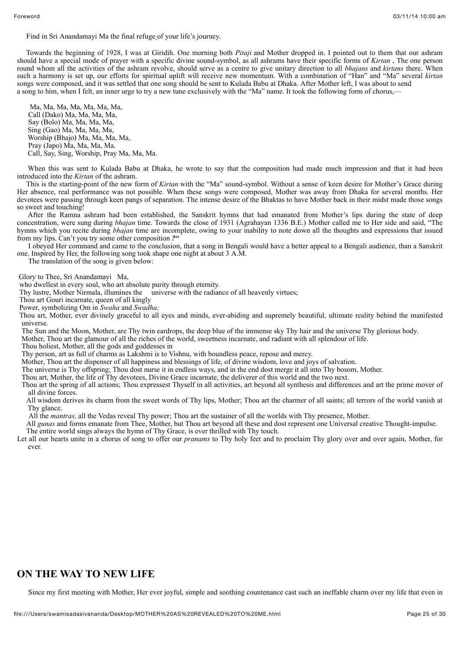Find in Sri Anandamayi Ma the final refuge of your life's journey.

Towards the beginning of 1928, I was at Giridih. One morning both *Pitaji* and Mother dropped in. I pointed out to them that our ashram should have a special mode of prayer with a specific divine sound-symbol, as all ashrams have their specific forms of *Kirtan .* The one person round whom all the activities of the ashram revolve, should serve as a centre to give unitary direction to all *bhajans* and *kirtans* there. When such a harmony is set up, our efforts for spiritual uplift will receive new momentum. With a combination of "Han" and "Ma" several *kirtan* songs were composed, and it was settled that one song should be sent to Kulada Babu at Dhaka. After Mother left, I was about to send a song to him, when I felt, an inner urge to try a new tune exclusively with the "Ma" name. It took the following form of chorus,—

 Ma, Ma, Ma, Ma, Ma, Ma, Ma, Call (Dako) Ma, Ma, Ma, Ma, Say (Bolo) Ma, Ma, Ma, Ma, Sing (Gao) Ma, Ma, Ma, Ma, Worship **(**Bhajo**)** Ma, Ma, Ma, Ma, Pray (Japo) Ma, Ma, Ma, Ma. Call, Say, Sing, Worship, Pray Ma, Ma, Ma.

When this was sent to Kulada Babu at Dhaka, he wrote to say that the composition had made much impression and that it had been introduced into the *Kirtan* of the ashram.

This is the starting-point of the new form of *Kirtan* with the "Ma" sound-symbol. Without a sense of keen desire for Mother's Grace during Her absence, real performance was not possible. When these songs were composed, Mother was away from Dhaka for several months. Her devotees were passing through keen pangs of separation. The intense desire of the Bhaktas to have Mother back in their midst made those songs so sweet and touching!

After the Ramna ashram had been established, the Sanskrit hymns that had emanated from Mother's lips during the state of deep concentration, were sung during *bhajan* time. Towards the close of 1931 (Agrahayan 1336 B.E.) Mother called me to Her side and said, "The hymns which you recite during *bhajan* time are incomplete, owing to your inability to note down all the thoughts and expressions that issued from my lips. Can't you try some other composition *?"*

I obeyed Her command and came to the conclusion, that a song in Bengali would have a better appeal to a Bengali audience, than a Sanskrit one. Inspired by Her, the following song took shape one night at about 3 A.M.

The translation of the song is given below:

Glory to Thee, Sri Anandamayi Ma,

who dwellest in every soul, who art absolute purity through eternity.

Thy lustre, Mother Nirmala, illumines the universe with the radiance of all heavenly virtues;

Thou art Gouri incarnate, queen of all kingly

Power, symbolizing Om in *Swaha* and *Swadha;*

Thou art, Mother, ever divinely graceful to all eyes and minds, ever-abiding and supremely beautiful, ultimate reality behind the manifested universe.

The Sun and the Moon, Mother, are Thy twin eardrops, the deep blue of the immense sky Thy hair and the universe Thy glorious body.

Mother, Thou art the glamour of all the riches of the world, sweetness incarnate, and radiant with all splendour of life.

Thou holiest, Mother, all the gods and goddesses in

Thy person, art as full of charms as Lakshmi is to Vishnu, with boundless peace, repose and mercy.

Mother, Thou art the dispenser of all happiness and blessings of life, of divine wisdom, love and joys of salvation.

The universe is Thy offspring; Thou dost nurse it in endless ways, and in the end dost merge it all into Thy bosom, Mother.

Thou art, Mother, the life of Thy devotees, Divine Grace incarnate, the deliverer of this world and the two next.

Thou art the spring of all actions; Thou expressest Thyself in all activities, art beyond all synthesis and differences and art the prime mover of all divine forces.

All wisdom derives its charm from the sweet words of Thy lips, Mother; Thou art the charmer of all saints; all terrors of the world vanish at Thy glance.

All the *mantras,* all the Vedas reveal Thy power; Thou art the sustainer of all the worlds with Thy presence, Mother.

All *gunas* and forms emanate from Thee, Mother, but Thou art beyond all these and dost represent one Universal creative Thought-impulse. The entire world sings always the hymn of Thy Grace, is ever thrilled with Thy touch.

Let all our hearts unite in a chorus of song to offer our *pranams* to Thy holy feet and to proclaim Thy glory over and over again, Mother, for ever.

# **ON THE WAY TO NEW LIFE**

Since my first meeting with Mother, Her ever joyful, simple and soothing countenance cast such an ineffable charm over my life that even in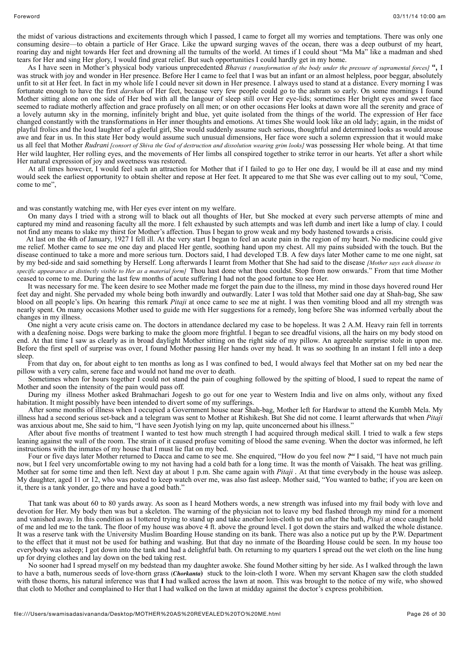the midst of various distractions and excitements through which I passed, I came to forget all my worries and temptations. There was only one consuming desire—to obtain a particle of Her Grace. Like the upward surging waves of the ocean, there was a deep outburst of my heart, roaring day and night towards Her feet and drowning all the tumults of the world. At times if I could shout "Ma Ma" like a madman and shed tears for Her and sing Her glory, I would find great relief. But such opportunities I could hardly get in my home.

As I have seen in Mother's physical body various unprecedented *Bhavas ( transformation of the body under the pressure of supramental forces]* **",** I was struck with joy and wonder in Her presence. Before Her I came to feel that I was but an infant or an almost helpless, poor beggar, absolutely unfit to sit at Her feet. In fact in my whole life I could never sit down in Her presence. I always used to stand at a distance. Every morning I was fortunate enough to have the first *darshan* of Her feet, because very few people could go to the ashram so early. On some mornings I found Mother sitting alone on one side of Her bed with all the langour of sleep still over Her eye-lids; sometimes Her bright eyes and sweet face seemed to radiate motherly affection and grace profusely on all men; or on other occasions Her looks at dawn wore all the serenity and grace of a lovely autumn sky in the morning, infinitely bright and blue, yet quite isolated from the things of the world. The expression of Her face changed constantly with the transformations in Her inner thoughts and emotions. At times She would look like an old lady; again, in the midst of playful frolics and the loud laughter of a gleeful girl, She would suddenly assume such serious, thoughtful and determined looks as would arouse awe and fear in us. In this state Her body would assume such unusual dimensions, Her face wore such a solemn expression that it would make us all feel that Mother *Rudrani [consort of Shiva the God of destruction and dissolution wearing grim looks]* was possessing Her whole being. At that time Her wild laughter, Her rolling eyes, and the movements of Her limbs all conspired together to strike terror in our hearts. Yet after a short while Her natural expression of joy and sweetness was restored.

At all times however, I would feel such an attraction for Mother that if I failed to go to Her one day, I would be ill at ease and my mind would seek the earliest opportunity to obtain shelter and repose at Her feet. It appeared to me that She was ever calling out to my soul, "Come, come to me",

and was constantly watching me, with Her eyes ever intent on my welfare.

On many days I tried with a strong will to black out all thoughts of Her, but She mocked at every such perverse attempts of mine and captured my mind and reasoning faculty all the more. I felt exhausted by such attempts and was left dumb and inert like a lump of clay. I could not find any means to slake my thirst for Mother's affection. Thus I began to grow weak and my body hastened towards a crisis.

At last on the 4th of January, 1927 I fell ill. At the very start I began to feel an acute pain in the region of my heart. No medicine could give me relief. Mother came to see me one day and placed Her gentle, soothing hand upon my chest. All my pains subsided with the touch. But the disease continued to take a more and more serious turn. Doctors said, I had developed T.B. A few days later Mother came to me one night, sat by my bed-side and said something by Herself. Long afterwards I learnt from Mother that She had said to the disease *[Mother says each disease its specific appearance as distinctly visible to Her as a material form]* Thou hast done what thou couldst. Stop from now onwards." From that time Mother ceased to come to me. During the last few months of acute suffering I had not the good fortune to see Her.

It was necessary for me. The keen desire to see Mother made me forget the pain due to the illness, my mind in those days hovered round Her feet day and night. She pervaded my whole being both inwardly and outwardly. Later I was told that Mother said one day at Shah-bag, She saw blood on all people's lips. On hearing this remark *Pitaji* at once came to see me at night. I was then vomiting blood and all my strength was nearly spent. On many occasions Mother used to guide me with Her suggestions for a remedy, long before She was informed verbally about the changes in my illness.

One night a very acute crisis came on. The doctors in attendance declared my case to be hopeless. It was 2 A.M. Heavy rain fell in torrents with a deafening noise. Dogs were barking to make the gloom more frightful. I began to see dreadful visions, all the hairs on my body stood on end. At that time I saw as clearly as in broad daylight Mother sitting on the right side of my pillow. An agreeable surprise stole in upon me. Before the first spell of surprise was over, I found Mother passing Her hands over my head. It was so soothing In an instant I fell into a deep sleep.

From that day on, for about eight to ten months as long as I was confined to bed, I would always feel that Mother sat on my bed near the pillow with a very calm, serene face and would not hand me over to death.

Sometimes when for hours together I could not stand the pain of coughing followed by the spitting of blood, I sued to repeat the name of Mother and soon the intensity of the pain would pass off*.*

During my illness Mother asked Brahmachari Jogesh to go out for one year to Western India and live on alms only, without any fixed habitation. It might possibly have been intended to divert some of my sufferings.

After some months of illness when I occupied a Government house near Shah-bag, Mother left for Hardwar to attend the Kumbh Mela. My illness had a second serious set-back and a telegram was sent to Mother at Rishikesh. But She did not come. I learnt afterwards that when *Pitaji* was anxious about me, She said to him, "I have seen Jyotish lying on my lap, quite unconcerned about his illness."

After about five months of treatment I wanted to test how much strength I had acquired through medical skill. I tried to walk a few steps leaning against the wall of the room. The strain of it caused profuse vomiting of blood the same evening. When the doctor was informed, he left instructions with the inmates of my house that I must lie flat on my bed.

Four or five days later Mother returned to Dacca and came to see me. She enquired, "How do you feel now *?"* I said, "I have not much pain now, but I feel very uncomfortable owing to my not having had a cold bath for a long time. It was the month of Vaisakh. The heat was grilling. Mother sat for some time and then left. Next day at about 1 p.m. She came again with *Pitaji* . At that time everybody in the house was asleep. My daughter, aged 11 or 12, who was posted to keep watch over me, was also fast asleep. Mother said, "You wanted to bathe; if you are keen on it, there is a tank yonder, go there and have a good bath."

That tank was about 60 to 80 yards away. As soon as I heard Mothers words, a new strength was infused into my frail body with love and devotion for Her. My body then was but a skeleton. The warning of the physician not to leave my bed flashed through my mind for a moment and vanished away. In this condition as I tottered trying to stand up and take another loin-cloth to put on after the bath, *Pitaji* at once caught hold of me and led me to the tank. The floor of my house was above 4 ft. above the ground level. I got down the stairs and walked the whole distance. It was a reserve tank with the University Muslim Boarding House standing on its bank. There was also a notice put up by the P.W. Department to the effect that it must not be used for bathing and washing. But that day no inmate of the Boarding House could be seen. In my house too everybody was asleep; I got down into the tank and had a delightful bath. On returning to my quarters I spread out the wet cloth on the line hung up for drying clothes and lay down on the bed taking rest.

No sooner had I spread myself on my bedstead than my daughter awoke. She found Mother sitting by her side. As I walked through the lawn to have a bath, numerous seeds of love-thorn grass (*Chorkanta***)** stuck to the loin-cloth I wore. When my servant Khagen saw the cloth studded with those thorns, his natural inference was that **I** had walked across the lawn at noon. This was brought to the notice of my wife, who showed that cloth to Mother and complained to Her that I had walked on the lawn at midday against the doctor's express prohibition.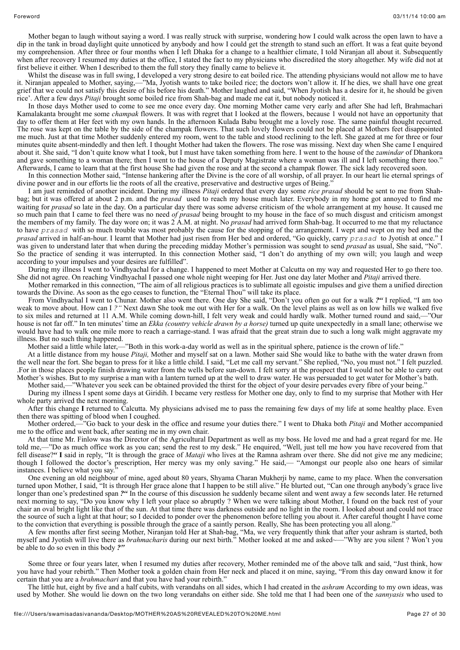Mother began to laugh without saying a word. I was really struck with surprise, wondering how I could walk across the open lawn to have a dip in the tank in broad daylight quite unnoticed by anybody and how I could get the strength to stand such an effort. It was a feat quite beyond my comprehension. After three or four months when I left Dhaka for a change to a healthier climate, I told Niranjan all about it. Subsequently when after recovery I resumed my duties at the office, I stated the fact to my physicians who discredited the story altogether. My wife did not at first believe it either. When I described to them the full story they finally came to believe it.

Whilst the disease was in full swing, I developed a very strong desire to eat boiled rice. The attending physicians would not allow me to have it. Niranjan appealed to Mother, saying,—"Ma, Jyotish wants to take boiled rice; the doctors won't allow it. If he dies, we shall have one great grief that we could not satisfy this desire of his before his death." Mother laughed and said, "When Jyotish has a desire for it, he should be given rice'. After a few days *Pitaji* brought some boiled rice from Shah-bag and made me eat it, but nobody noticed it.

In those days Mother used to come to see me once every day. One morning Mother came very early and after She had left, Brahmachari Kamalakanta brought me some *champak* flowers. It was with regret that I looked at the flowers, because 1 would not have an opportunity that day to offer them at Her feet with my own hands. In the afternoon Kulada Babu brought me a lovely rose. The same painful thought recurred. The rose was kept on the table by the side of the champak flowers. That such lovely flowers could not be placed at Mothers feet disappointed me much. Just at that time Mother suddenly entered my room, went to the table and stood reclining to the left. She gazed at me for three or four minutes quite absent-mindedly and then left. I thought Mother had taken the flowers. The rose was missing. Next day when She came I enquired about it. She said, "I don't quite know what I took, but I must have taken something from here. I went to the house of the *zamindar* of Dhankora and gave something to a woman there; then I went to the house of a Deputy Magistrate where a woman was ill and I left something there too." Afterwards, I came to learn that at the first house She had given the rose and at the second a champak flower. The sick lady recovered soon.

In this connection Mother said, "Intense hankering after the Divine is the core of all worship, of all prayer. In our heart lie eternal springs of divine power and in our efforts lie the roots of all the creative, preservative and destructive urges of Being."

I am just reminded of another incident. During my illness *Pitaji* ordered that every day some *rice prasad* should be sent to me from Shahbag; but it was offered at about 2 p.m. and the *prasad* used to reach my house much later. Everybody in my home got annoyed to find me waiting for *prasad* so late in the day. On a particular day there was some adverse criticism of the whole arrangement at my house. It caused me so much pain that I came to feel there was no need *of prasad* being brought to my house in the face of so much disgust and criticism amongst the members of my family. The day wore on; it was 2 A.M. at night. No *prasad* had arrived form Shah-bag. It occurred to me that my reluctance to have *prasad* with so much trouble was most probably the cause for the stopping of the arrangement. I wept and wept on my bed and the *prasad* arrived in half-an-hour. I learnt that Mother had just risen from Her bed and ordered, "Go quickly, carry *prasad* to Jyotish at once." I was given to understand later that when during the preceding midday Mother's permission was sought to send *prasad* as usual, She said, "No". So the practice of sending it was interrupted. In this connection Mother said, "I don't do anything of my own will; you laugh and weep according to your impulses and your desires are fulfilled".

During my illness I went to Vindhyachal for a change. I happened to meet Mother at Calcutta on my way and requested Her to go there too. She did not agree. On reaching Vindhyachal I passed one whole night weeping for Her. Just one day later Mother and *Pitaji* arrived there.

Mother remarked in this connection, "The aim of all religious practices is to sublimate all egoistic impulses and give them a unified direction towards the Divine. As soon as the ego ceases to function, the "Eternal Thou" will take its place.

From Vindhyachal I went to Chunar. Mother also went there. One day She said, "Don't you often go out for a walk *?"* I replied, "I am too weak to move about. How can I *?"* Next dawn She took me out with Her for a walk. On the level plains as well as on low hills we walked five to six miles and returned at 11 A.M. While coming down-hill, I felt very weak and could hardly walk. Mother turned round and said,—"Our house is not far off." In ten minutes' time an *Ekka (country vehicle drawn by a horse)* turned up quite unexpectedly in a small lane; otherwise we would have had to walk one mile more to reach a carriage-stand. I was afraid that the great strain due to such a long walk might aggravate my illness. But no such thing happened.

Mother said a little while later,—"Both in this work-a-day world as well as in the spiritual sphere, patience is the crown of life."

At a little distance from my house *Pitaji,* Mother and myself sat on a lawn. Mother said She would like to bathe with the water drawn from the well near the fort. She began to press for it like a little child. I said, "Let me call my servant." She replied, "No, you must not." I felt puzzled. .For in those places people finish drawing water from the wells before sun-down. I felt sorry at the prospect that I would not be able to carry out Mother's wishes. But to my surprise a man with a lantern turned up at the well to draw water. He was persuaded to get water for Mother's bath.

Mother said,—"Whatever you seek can be obtained provided the thirst for the object of your desire pervades every fibre of your being.

During my illness I spent some days at Giridih. I became very restless for Mother one day, only to find to my surprise that Mother with Her whole party arrived the next morning.

After this change **I** returned to Calcutta. My physicians advised me to pass the remaining few days of my life at some healthy place. Even then there was spitting of blood when I coughed.

Mother ordered,—"Go back to your desk in the office and resume your duties there." I went to Dhaka both *Pitaji* and Mother accompanied me to the office and went back, after seating me in my own chair.

At that time Mr. Finlow was the Director of the Agricultural Department as well as my boss. He loved me and had a great regard for me. He told me,—"Do as much office work as you can; send the rest to my desk." He enquired, "Well, just tell me how you have recovered from that fell disease?*"* **I** said in reply, "It is through the grace of *Mataji* who lives at the Ramna ashram over there. She did not give me any medicine; though I followed the doctor's prescription, Her mercy was my only saving." He said,— "Amongst our people also one hears of similar instances. I believe what you say."

One evening an old neighbour of mine, aged about 80 years, Shyama Charan Mukherji by name, came to my place. When the conversation turned upon Mother, I said, "It is through Her grace alone that I happen to be still alive." He blurted out, "Can one through anybody's grace live longer than one's predestined span *?"* In the course of this discussion he suddenly became silent and went away a few seconds later. He returned next morning to say, "Do you know why I left your place so abruptly ? When we were talking about Mother, I found on the back rest of your chair an oval bright light like that of the sun. At that time there was darkness outside and no light in the room. I looked about and could not trace the source of such a light at that hour; so I decided to ponder over the phenomenon before telling you about it. After careful thought I have come to the conviction that everything is possible through the grace of a saintly person. Really, She has been protecting you all along."

A few months after first seeing Mother, Niranjan told Her at Shah-bag, "Ma, we very frequently think that after your ashram is started, both myself and Jyotish will live there as *brahmacharis* during our next birth." Mother looked at me and asked~—"Why are you silent ? Won't you be able to do so even in this body *?"*

Some three or four years later, when I resumed my duties after recovery, Mother reminded me of the above talk and said, "Just think, how you have had your rebirth." Then Mother took a golden chain from Her neck and placed it on mine, saying, "From this day onward know it for certain that you are a *brahmachari* and that you have had your rebirth."

The little hut, eight by five and a half cubits, with verandahs on all sides, which I had created in the *ashram* According to my own ideas, was used by Mother. She would lie down on the two long verandahs on either side. She told me that I had been one of the *sannyasis* who used to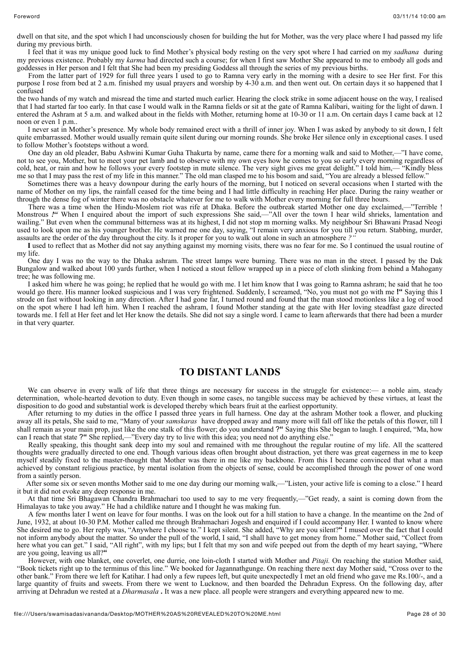dwell on that site, and the spot which I had unconsciously chosen for building the hut for Mother, was the very place where I had passed my life during my previous birth.

I feel that it was my unique good luck to find Mother's physical body resting on the very spot where I had carried on my *sadhana* during my previous existence. Probably my *karma* had directed such a course; for when I first saw Mother She appeared to me to embody all gods and goddesses in Her person and I felt that She had been my presiding Goddess all through the series of my previous births.

From the latter part of 1929 for full three years I used to go to Ramna very early in the morning with a desire to see Her first. For this purpose I rose from bed at 2 a.m. finished my usual prayers and worship by 4-30 a.m. and then went out. On certain days it so happened that I confused

the two hands of my watch and misread the time and started much earlier. Hearing the clock strike in some adjacent house on the way, I realised that I had started far too early. In that case I would walk in the Ramna fields or sit at the gate of Ramna Kalibari, waiting for the light of dawn. I entered the Ashram at 5 a.m. and walked about in the fields with Mother, returning home at 10-30 or 11 a.m. On certain days I came back at 12 noon or even 1 p.m..

I never sat in Mother's presence. My whole body remained erect with a thrill of inner joy. When I was asked by anybody to sit down, I felt quite embarrassed. Mother would usually remain quite silent during our morning rounds. She broke Her silence only in exceptional cases. I used to follow Mother's footsteps without a word.

One day an old pleader, Babu Ashwini Kumar Guha Thakurta by name, came there for a morning walk and said to Mother,—"I have come, not to see you, Mother, but to meet your pet lamb and to observe with my own eyes how he comes to you so early every morning regardless of cold, heat, or rain and how he follows your every footstep in mute silence. The very sight gives me great delight." I told him,— "Kindly bless me so that I may pass the rest of my life in this manner." The old man clasped me to his bosom and said, "You are already a blessed fellow."

Sometimes there was a heavy downpour during the early hours of the morning, but I noticed on several occasions when I started with the name of Mother on my lips, the rainfall ceased for the time being and I had little difficulty in reaching Her place. During the rainy weather or through the dense fog of winter there was no obstacle whatever for me to walk with Mother every morning for full three hours.

There was a time when the Hindu-Moslem riot was rife at Dhaka. Before the outbreak started Mother one day exclaimed,—"Terrible ! Monstrous *!"* When I enquired about the import of such expressions She said,—"All over the town I hear wild shrieks, lamentation and wailing." But even when the communal bitterness was at its highest, I did not stop m morning walks. My neighbour Sri Bhawani Prasad Neogi used to look upon me as his younger brother. He warned me one day, saying, "I remain very anxious for you till you return. Stabbing, murder, assaults are the order of the day throughout the city. Is it proper for you to walk out alone in such an atmosphere *?"*

**I** used to reflect that as Mother did not say anything against my morning visits, there was no fear for me. So I continued the usual routine of my life.

One day I was no the way to the Dhaka ashram. The street lamps were burning. There was no man in the street. I passed by the Dak Bungalow and walked about 100 yards further, when I noticed a stout fellow wrapped up in a piece of cloth slinking from behind a Mahogany tree; he was following me.

I asked him where he was going; he replied that he would go with me. I let him know that I was going to Ramna ashram; he said that he too would go there. His manner looked suspicious and I was very frightened. Suddenly, I screamed, "No, you must not go with me **!"** Saying this I strode on fast without looking in any direction. After I had gone far, I turned round and found that the man stood motionless like a log of wood on the spot where I had left him. When I reached the ashram, I found Mother standing at the gate with Her loving steadfast gaze directed towards me. I fell at Her feet and let Her know the details. She did not say a single word. I came to learn afterwards that there had been a murder in that very quarter.

## **TO DISTANT LANDS**

We can observe in every walk of life that three things are necessary for success in the struggle for existence:— a noble aim, steady determination, whole-hearted devotion to duty. Even though in some cases, no tangible success may be achieved by these virtues, at least the disposition to do good and substantial work is developed thereby which bears fruit at the earliest opportunity.

After returning to my duties in the office I passed three years in full harness. One day at the ashram Mother took a flower, and plucking away all its petals, She said to me, "Many of your *samskaras* have dropped away and many more will fall off like the petals of this flower, till I shall remain as your main prop, just like the one stalk of this flower; do you understand ?**"** Saying this She began to laugh. I enquired, "Ma, how can I reach that state ?" She replied,—"Every day try to live with this idea; you need not do anything else."

Really speaking, this thought sank deep into my soul and remained with me throughout the regular routine of my life. All the scattered thoughts were gradually directed to one end. Though various ideas often brought about distraction, yet there was great eagerness in me to keep myself steadily fixed to the master-thought that Mother was there in me like my backbone. From this I became convinced that what a man achieved by constant religious practice, by mental isolation from the objects of sense, could be accomplished through the power of one word from a saintly person.

After some six or seven months Mother said to me one day during our morning walk,—"Listen, your active life is coming to a close." I heard it but it did not evoke any deep response in me.

At that time Sri Bhagawan Chandra Brahmachari too used to say to me very frequently,—"Get ready, a saint is coming down from the Himalayas to take you away." He had a childlike nature and I thought he was making fun.

A few months later I went on leave for four months. I was on the look out for a hill station to have a change. In the meantime on the 2nd of June, 1932, at about 10-30 P.M. Mother called me through Brahmachari Jogesh and enquired if I could accompany Her. I wanted to know where She desired me to go. Her reply was, "Anywhere I choose to." I kept silent. She added, "Why are you silent?**"** I mused over the fact that I could not inform anybody about the matter. So under the pull of the world, I said, "I shall have to get money from home." Mother said, "Collect from here what you can get." I said, "All right", with my lips; but I felt that my son and wife peeped out from the depth of my heart saying, "Where are you going, leaving us all?**"**

However, with one blanket, one coverlet, one durrie, one loin-cloth I started with Mother and *Pitaji.* On reaching the station Mother said, "Book tickets right up to the terminus of this line." We booked for Jagannathgunge. On reaching there next day Mother said, "Cross over to the other bank." From there we left for Katihar. I had only a few rupees left, but quite unexpectedly I met an old friend who gave me Rs.100/-, and a large quantity of fruits and sweets. From there we went to Lucknow, and then boarded the Dehradun Express. On the following day, after arriving at Dehradun we rested at a *Dharmasala* **.** It was a new place. all people were strangers and everything appeared new to me.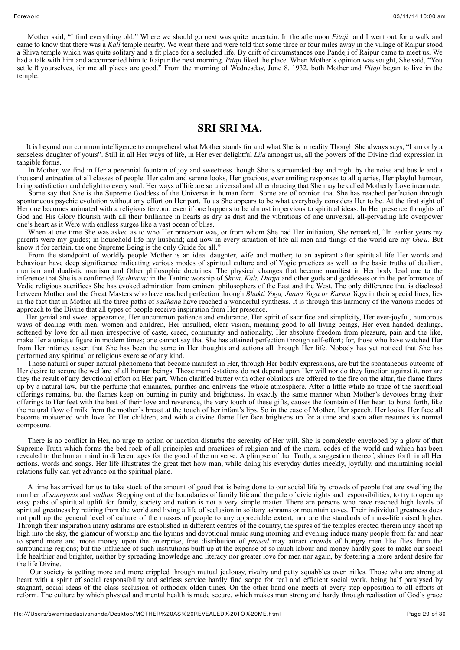Mother said, "I find everything old." Where we should go next was quite uncertain. In the afternoon *Pitaji* and I went out for a walk and came to know that there was a *Kali* temple nearby. We went there and were told that some three or four miles away in the village of Raipur stood a Shiva temple which was quite solitary and a fit place for a secluded life. By drift of circumstances one Pandeji of Raipur came to meet us. We had a talk with him and accompanied him to Raipur the next morning. *Pitaji* liked the place. When Mother's opinion was sought, She said, "You settle it yourselves, for me all places are good." From the morning of Wednesday, June 8, 1932, both Mother and *Pitaji* began to live in the temple.

# **SRI SRI MA.**

It is beyond our common intelligence to comprehend what Mother stands for and what She is in reality Though She always says, "I am only a senseless daughter of yours". Still in all Her ways of life, in Her ever delightful *Lila* amongst us, all the powers of the Divine find expression in tangible forms.

In Mother, we find in Her a perennial fountain of joy and sweetness though She is surrounded day and night by the noise and bustle and a thousand entreaties of all classes of people. Her calm and serene looks, Her gracious, ever smiling responses to all queries, Her playful humour, bring satisfaction and delight to every soul. Her ways of life are so universal and all embracing that She may be called Motherly Love incarnate.

Some say that She is the Supreme Goddess of the Universe in human form. Some are of opinion that She has reached perfection through spontaneous psychic evolution without any effort on Her part. To us She appears to be what everybody considers Her to be. At the first sight of Her one becomes animated with a religious fervour, even if one happens to be almost impervious to spiritual ideas. In Her presence thoughts of God and His Glory flourish with all their brilliance in hearts as dry as dust and the vibrations of one universal, all-pervading life overpower one's heart as it Were with endless surges like a vast ocean of bliss.

When at one time She was asked as to who Her preceptor was, or from whom She had Her initiation, She remarked, "In earlier years my parents were my guides; in household life my husband; and now in every situation of life all men and things of the world are my *Guru.* But know it for certain, the one Supreme Being is the only Guide for all."

From the standpoint of worldly people Mother is an ideal daughter, wife and mother; to an aspirant after spiritual life Her words and behaviour have deep significance indicating various modes of spiritual culture and of Yogic practices as well as the basic truths of dualism, monism and dualistic monism and Other philosophic doctrines. The physical changes that become manifest in Her body lead one to the inference that She is a confirmed *Vaishnava;* in the Tantric worship of *Shiva, Kali, Durga* and other gods and goddesses or in the performance of Vedic religious sacrifices She has evoked admiration from eminent philosophers of the East and the West. The only difference that is disclosed between Mother and the Great Masters who have reached perfection through *Bhakti Yoga, Jnana Yoga or Karma Yoga* in their special lines, lies in the fact that in Mother all the three paths of *sadhana* have reached a wonderful synthesis. It is through this harmony of the various modes of approach to the Divine that all types of people receive inspiration from Her presence.

Her genial and sweet appearance, Her uncommon patience and endurance, Her spirit of sacrifice and simplicity, Her ever-joyful, humorous ways of dealing with men, women and children, Her unsullied, clear vision, meaning good to all living beings, Her even-handed dealings, softened by love for all men irrespective of caste, creed, community and nationality, Her absolute freedom from pleasure, pain and the like, make Her a unique figure in modern times; one cannot say that She has attained perfection through self-effort; for, those who have watched Her from Her infancy assert that She has been the same in Her thoughts and actions all through Her life. Nobody has yet noticed that She has performed any spiritual or religious exercise of any kind.

Those natural or super-natural phenomena that become manifest in Her, through Her bodily expressions, are but the spontaneous outcome of Her desire to secure the welfare of all human beings. Those manifestations do not depend upon Her will nor do they function against it, nor are they the result of any devotional effort on Her part. When clarified butter with other oblations are offered to the fire on the altar, the flame flares up by a natural law, but the perfume that emanates, purifies and enlivens the whole atmosphere. After a little while no trace of the sacrificial offerings remains, but the flames keep on burning in purity and brightness. In exactly the same manner when Mother's devotees bring their offerings to Her feet with the best of their love and reverence, the very touch of these gifts, causes the fountain of Her heart to burst forth, like the natural flow of milk from the mother's breast at the touch of her infant's lips. So in the case of Mother, Her speech, Her looks, Her face all become moistened with love for Her children; and with a divine flame Her face brightens up for a time and soon after resumes its normal composure.

There is no conflict in Her, no urge to action or inaction disturbs the serenity of Her will. She is completely enveloped by a glow of that Supreme Truth which forms the bed-rock of all principles and practices of religion and of the moral codes of the world and which has been revealed to the human mind in different ages for the good of the universe. A glimpse of that Truth, a suggestion thereof, shines forth in all Her actions, words and songs. Her life illustrates the great fact how man, while doing his everyday duties meekly, joyfully, and maintaining social relations fully can yet advance on the spiritual plane.

A time has arrived for us to take stock of the amount of good that is being done to our social life by crowds of people that are swelling the number of *sannyasis* and *sadhus*. Stepping out of the boundaries of family life and the pale of civic rights and responsibilities, to try to open up easy paths of spiritual uplift for family, society and nation is not a very simple matter. There are persons who have reached high levels of spiritual greatness by retiring from the world and living a life of seclusion in solitary ashrams or mountain caves. Their individual greatness does not pull up the general level of culture of the masses of people to any appreciable extent, nor are the standards of mass-life raised higher. Through their inspiration many ashrams are established in different centres of the country, the spires of the temples erected therein may shoot up high into the sky, the glamour of worship and the hymns and devotional music sung morning and evening induce many people from far and near to spend more and more money upon the enterprise, free distribution of *prasad* may attract crowds of hungry men like flies from the surrounding regions; but the influence of such institutions built up at the expense of so much labour and money hardly goes to make our social life healthier and brighter, neither by spreading knowledge and literacy nor greater love for men nor again, by fostering a more ardent desire for the life Divine.

Our society is getting more and more crippled through mutual jealousy, rivalry and petty squabbles over trifles. Those who are strong at heart with a spirit of social responsibility and selfless service hardly find scope for real and efficient social work, being half paralysed by stagnant, social ideas of the class seclusion of orthodox olden times. On the other hand one meets at every step opposition to all efforts at reform. The culture by which physical and mental health is made secure, which makes man strong and hardy through realisation of God's grace